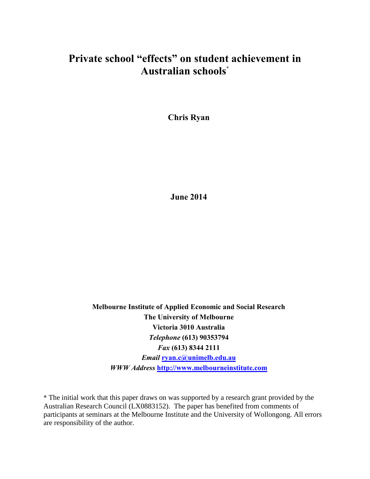# **Private school "effects" on student achievement in Australian schools**\*

**Chris Ryan**

**June 2014**

**Melbourne Institute of Applied Economic and Social Research The University of Melbourne Victoria 3010 Australia** *Telephone* **(613) 90353794** *Fax* **(613) 8344 2111** *Email* **[ryan.c@unimelb.edu.au](mailto:ryan.c@unimelb.edu.au)** *WWW Address* **[http://www.melbourneinstitute.com](http://www.melbourneinstitute.com/)**

\* The initial work that this paper draws on was supported by a research grant provided by the Australian Research Council (LX0883152). The paper has benefited from comments of participants at seminars at the Melbourne Institute and the University of Wollongong. All errors are responsibility of the author.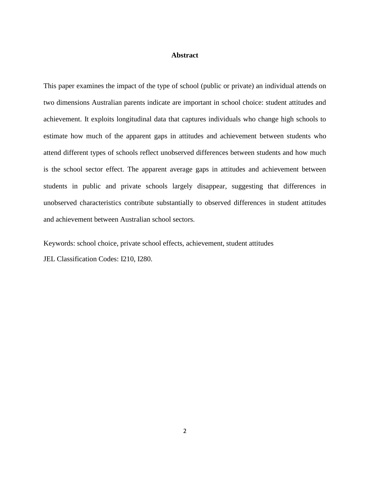### **Abstract**

This paper examines the impact of the type of school (public or private) an individual attends on two dimensions Australian parents indicate are important in school choice: student attitudes and achievement. It exploits longitudinal data that captures individuals who change high schools to estimate how much of the apparent gaps in attitudes and achievement between students who attend different types of schools reflect unobserved differences between students and how much is the school sector effect. The apparent average gaps in attitudes and achievement between students in public and private schools largely disappear, suggesting that differences in unobserved characteristics contribute substantially to observed differences in student attitudes and achievement between Australian school sectors.

Keywords: school choice, private school effects, achievement, student attitudes JEL Classification Codes: I210, I280.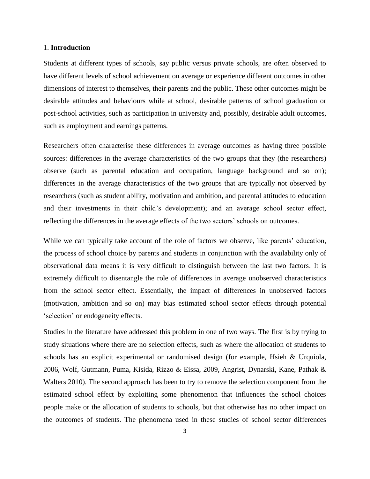#### 1. **Introduction**

Students at different types of schools, say public versus private schools, are often observed to have different levels of school achievement on average or experience different outcomes in other dimensions of interest to themselves, their parents and the public. These other outcomes might be desirable attitudes and behaviours while at school, desirable patterns of school graduation or post-school activities, such as participation in university and, possibly, desirable adult outcomes, such as employment and earnings patterns.

Researchers often characterise these differences in average outcomes as having three possible sources: differences in the average characteristics of the two groups that they (the researchers) observe (such as parental education and occupation, language background and so on); differences in the average characteristics of the two groups that are typically not observed by researchers (such as student ability, motivation and ambition, and parental attitudes to education and their investments in their child's development); and an average school sector effect, reflecting the differences in the average effects of the two sectors' schools on outcomes.

While we can typically take account of the role of factors we observe, like parents' education, the process of school choice by parents and students in conjunction with the availability only of observational data means it is very difficult to distinguish between the last two factors. It is extremely difficult to disentangle the role of differences in average unobserved characteristics from the school sector effect. Essentially, the impact of differences in unobserved factors (motivation, ambition and so on) may bias estimated school sector effects through potential 'selection' or endogeneity effects.

Studies in the literature have addressed this problem in one of two ways. The first is by trying to study situations where there are no selection effects, such as where the allocation of students to schools has an explicit experimental or randomised design (for example, Hsieh & Urquiola, 2006, Wolf, Gutmann, Puma, Kisida, Rizzo & Eissa, 2009, Angrist, Dynarski, Kane, Pathak & Walters 2010). The second approach has been to try to remove the selection component from the estimated school effect by exploiting some phenomenon that influences the school choices people make or the allocation of students to schools, but that otherwise has no other impact on the outcomes of students. The phenomena used in these studies of school sector differences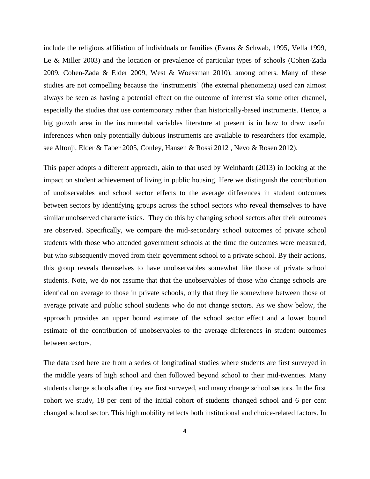include the religious affiliation of individuals or families (Evans & Schwab, 1995, Vella 1999, Le & Miller 2003) and the location or prevalence of particular types of schools (Cohen-Zada 2009, Cohen-Zada & Elder 2009, West & Woessman 2010), among others. Many of these studies are not compelling because the 'instruments' (the external phenomena) used can almost always be seen as having a potential effect on the outcome of interest via some other channel, especially the studies that use contemporary rather than historically-based instruments. Hence, a big growth area in the instrumental variables literature at present is in how to draw useful inferences when only potentially dubious instruments are available to researchers (for example, see Altonji, Elder & Taber 2005, Conley, Hansen & Rossi 2012 , Nevo & Rosen 2012).

This paper adopts a different approach, akin to that used by Weinhardt (2013) in looking at the impact on student achievement of living in public housing. Here we distinguish the contribution of unobservables and school sector effects to the average differences in student outcomes between sectors by identifying groups across the school sectors who reveal themselves to have similar unobserved characteristics. They do this by changing school sectors after their outcomes are observed. Specifically, we compare the mid-secondary school outcomes of private school students with those who attended government schools at the time the outcomes were measured, but who subsequently moved from their government school to a private school. By their actions, this group reveals themselves to have unobservables somewhat like those of private school students. Note, we do not assume that that the unobservables of those who change schools are identical on average to those in private schools, only that they lie somewhere between those of average private and public school students who do not change sectors. As we show below, the approach provides an upper bound estimate of the school sector effect and a lower bound estimate of the contribution of unobservables to the average differences in student outcomes between sectors.

The data used here are from a series of longitudinal studies where students are first surveyed in the middle years of high school and then followed beyond school to their mid-twenties. Many students change schools after they are first surveyed, and many change school sectors. In the first cohort we study, 18 per cent of the initial cohort of students changed school and 6 per cent changed school sector. This high mobility reflects both institutional and choice-related factors. In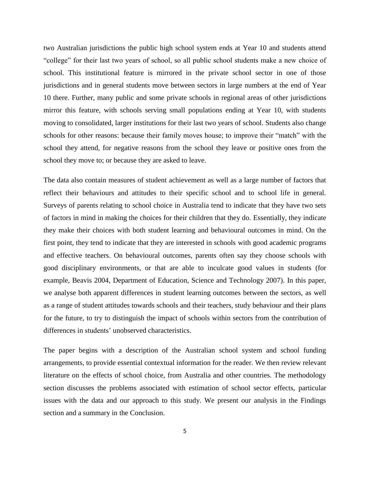two Australian jurisdictions the public high school system ends at Year 10 and students attend "college" for their last two years of school, so all public school students make a new choice of school. This institutional feature is mirrored in the private school sector in one of those jurisdictions and in general students move between sectors in large numbers at the end of Year 10 there. Further, many public and some private schools in regional areas of other jurisdictions mirror this feature, with schools serving small populations ending at Year 10, with students moving to consolidated, larger institutions for their last two years of school. Students also change schools for other reasons: because their family moves house; to improve their "match" with the school they attend, for negative reasons from the school they leave or positive ones from the school they move to; or because they are asked to leave.

The data also contain measures of student achievement as well as a large number of factors that reflect their behaviours and attitudes to their specific school and to school life in general. Surveys of parents relating to school choice in Australia tend to indicate that they have two sets of factors in mind in making the choices for their children that they do. Essentially, they indicate they make their choices with both student learning and behavioural outcomes in mind. On the first point, they tend to indicate that they are interested in schools with good academic programs and effective teachers. On behavioural outcomes, parents often say they choose schools with good disciplinary environments, or that are able to inculcate good values in students (for example, Beavis 2004, Department of Education, Science and Technology 2007). In this paper, we analyse both apparent differences in student learning outcomes between the sectors, as well as a range of student attitudes towards schools and their teachers, study behaviour and their plans for the future, to try to distinguish the impact of schools within sectors from the contribution of differences in students' unobserved characteristics.

The paper begins with a description of the Australian school system and school funding arrangements, to provide essential contextual information for the reader. We then review relevant literature on the effects of school choice, from Australia and other countries. The methodology section discusses the problems associated with estimation of school sector effects, particular issues with the data and our approach to this study. We present our analysis in the Findings section and a summary in the Conclusion.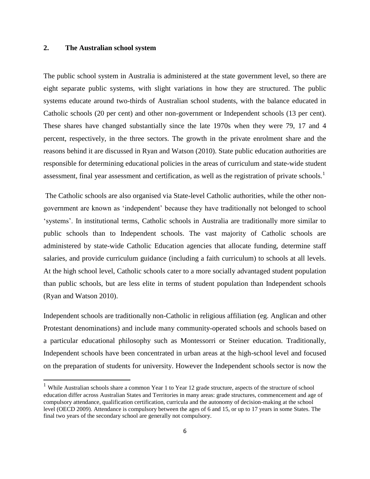## **2. The Australian school system**

 $\overline{a}$ 

The public school system in Australia is administered at the state government level, so there are eight separate public systems, with slight variations in how they are structured. The public systems educate around two-thirds of Australian school students, with the balance educated in Catholic schools (20 per cent) and other non-government or Independent schools (13 per cent). These shares have changed substantially since the late 1970s when they were 79, 17 and 4 percent, respectively, in the three sectors. The growth in the private enrolment share and the reasons behind it are discussed in Ryan and Watson (2010). State public education authorities are responsible for determining educational policies in the areas of curriculum and state-wide student assessment, final year assessment and certification, as well as the registration of private schools.<sup>1</sup>

The Catholic schools are also organised via State-level Catholic authorities, while the other nongovernment are known as 'independent' because they have traditionally not belonged to school 'systems'. In institutional terms, Catholic schools in Australia are traditionally more similar to public schools than to Independent schools. The vast majority of Catholic schools are administered by state-wide Catholic Education agencies that allocate funding, determine staff salaries, and provide curriculum guidance (including a faith curriculum) to schools at all levels. At the high school level, Catholic schools cater to a more socially advantaged student population than public schools, but are less elite in terms of student population than Independent schools (Ryan and Watson 2010).

Independent schools are traditionally non-Catholic in religious affiliation (eg. Anglican and other Protestant denominations) and include many community-operated schools and schools based on a particular educational philosophy such as Montessorri or Steiner education. Traditionally, Independent schools have been concentrated in urban areas at the high-school level and focused on the preparation of students for university. However the Independent schools sector is now the

<sup>&</sup>lt;sup>1</sup> While Australian schools share a common Year 1 to Year 12 grade structure, aspects of the structure of school education differ across Australian States and Territories in many areas: grade structures, commencement and age of compulsory attendance, qualification certification, curricula and the autonomy of decision-making at the school level (OECD 2009). Attendance is compulsory between the ages of 6 and 15, or up to 17 years in some States. The final two years of the secondary school are generally not compulsory.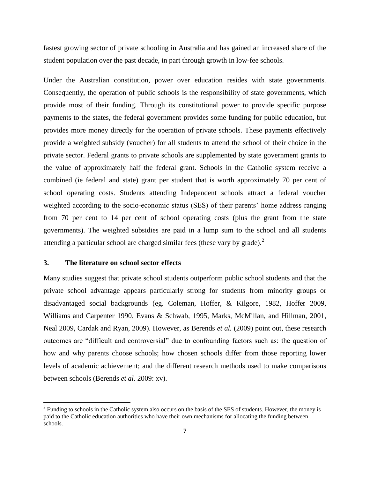fastest growing sector of private schooling in Australia and has gained an increased share of the student population over the past decade, in part through growth in low-fee schools.

Under the Australian constitution, power over education resides with state governments. Consequently, the operation of public schools is the responsibility of state governments, which provide most of their funding. Through its constitutional power to provide specific purpose payments to the states, the federal government provides some funding for public education, but provides more money directly for the operation of private schools. These payments effectively provide a weighted subsidy (voucher) for all students to attend the school of their choice in the private sector. Federal grants to private schools are supplemented by state government grants to the value of approximately half the federal grant. Schools in the Catholic system receive a combined (ie federal and state) grant per student that is worth approximately 70 per cent of school operating costs. Students attending Independent schools attract a federal voucher weighted according to the socio-economic status (SES) of their parents' home address ranging from 70 per cent to 14 per cent of school operating costs (plus the grant from the state governments). The weighted subsidies are paid in a lump sum to the school and all students attending a particular school are charged similar fees (these vary by grade).<sup>2</sup>

## **3. The literature on school sector effects**

l

Many studies suggest that private school students outperform public school students and that the private school advantage appears particularly strong for students from minority groups or disadvantaged social backgrounds (eg. Coleman, Hoffer, & Kilgore, 1982, Hoffer 2009, Williams and Carpenter 1990, Evans & Schwab, 1995, Marks, McMillan, and Hillman, 2001, Neal 2009, Cardak and Ryan, 2009). However, as Berends *et al.* (2009) point out, these research outcomes are "difficult and controversial" due to confounding factors such as: the question of how and why parents choose schools; how chosen schools differ from those reporting lower levels of academic achievement; and the different research methods used to make comparisons between schools (Berends *et al.* 2009: xv).

 $2^2$  Funding to schools in the Catholic system also occurs on the basis of the SES of students. However, the money is paid to the Catholic education authorities who have their own mechanisms for allocating the funding between schools.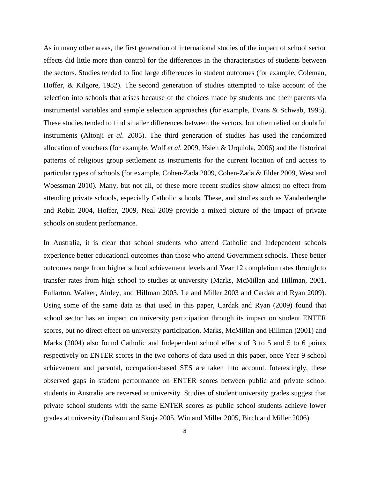As in many other areas, the first generation of international studies of the impact of school sector effects did little more than control for the differences in the characteristics of students between the sectors. Studies tended to find large differences in student outcomes (for example, Coleman, Hoffer, & Kilgore, 1982). The second generation of studies attempted to take account of the selection into schools that arises because of the choices made by students and their parents via instrumental variables and sample selection approaches (for example, Evans & Schwab, 1995). These studies tended to find smaller differences between the sectors, but often relied on doubtful instruments (Altonji *et al*. 2005). The third generation of studies has used the randomized allocation of vouchers (for example, Wolf *et al.* 2009, Hsieh & Urquiola, 2006) and the historical patterns of religious group settlement as instruments for the current location of and access to particular types of schools (for example, Cohen-Zada 2009, Cohen-Zada & Elder 2009, West and Woessman 2010). Many, but not all, of these more recent studies show almost no effect from attending private schools, especially Catholic schools. These, and studies such as Vandenberghe and Robin 2004, Hoffer, 2009, Neal 2009 provide a mixed picture of the impact of private schools on student performance.

In Australia, it is clear that school students who attend Catholic and Independent schools experience better educational outcomes than those who attend Government schools. These better outcomes range from higher school achievement levels and Year 12 completion rates through to transfer rates from high school to studies at university (Marks, McMillan and Hillman, 2001, Fullarton, Walker, Ainley, and Hillman 2003, Le and Miller 2003 and Cardak and Ryan 2009). Using some of the same data as that used in this paper, Cardak and Ryan (2009) found that school sector has an impact on university participation through its impact on student ENTER scores, but no direct effect on university participation. Marks, McMillan and Hillman (2001) and Marks (2004) also found Catholic and Independent school effects of 3 to 5 and 5 to 6 points respectively on ENTER scores in the two cohorts of data used in this paper, once Year 9 school achievement and parental, occupation-based SES are taken into account. Interestingly, these observed gaps in student performance on ENTER scores between public and private school students in Australia are reversed at university. Studies of student university grades suggest that private school students with the same ENTER scores as public school students achieve lower grades at university (Dobson and Skuja 2005, Win and Miller 2005, Birch and Miller 2006).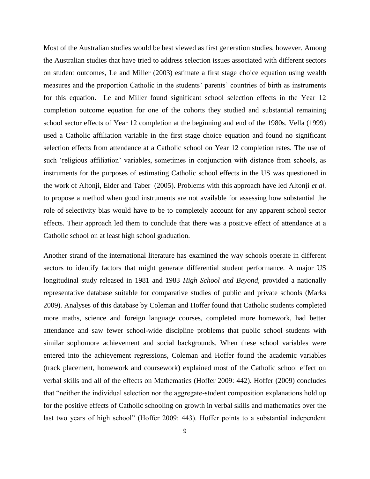Most of the Australian studies would be best viewed as first generation studies, however. Among the Australian studies that have tried to address selection issues associated with different sectors on student outcomes, Le and Miller (2003) estimate a first stage choice equation using wealth measures and the proportion Catholic in the students' parents' countries of birth as instruments for this equation. Le and Miller found significant school selection effects in the Year 12 completion outcome equation for one of the cohorts they studied and substantial remaining school sector effects of Year 12 completion at the beginning and end of the 1980s. Vella (1999) used a Catholic affiliation variable in the first stage choice equation and found no significant selection effects from attendance at a Catholic school on Year 12 completion rates. The use of such 'religious affiliation' variables, sometimes in conjunction with distance from schools, as instruments for the purposes of estimating Catholic school effects in the US was questioned in the work of Altonji, Elder and Taber (2005). Problems with this approach have led Altonji *et al.* to propose a method when good instruments are not available for assessing how substantial the role of selectivity bias would have to be to completely account for any apparent school sector effects. Their approach led them to conclude that there was a positive effect of attendance at a Catholic school on at least high school graduation.

Another strand of the international literature has examined the way schools operate in different sectors to identify factors that might generate differential student performance. A major US longitudinal study released in 1981 and 1983 *High School and Beyond,* provided a nationally representative database suitable for comparative studies of public and private schools (Marks 2009). Analyses of this database by Coleman and Hoffer found that Catholic students completed more maths, science and foreign language courses, completed more homework, had better attendance and saw fewer school-wide discipline problems that public school students with similar sophomore achievement and social backgrounds. When these school variables were entered into the achievement regressions, Coleman and Hoffer found the academic variables (track placement, homework and coursework) explained most of the Catholic school effect on verbal skills and all of the effects on Mathematics (Hoffer 2009: 442). Hoffer (2009) concludes that "neither the individual selection nor the aggregate-student composition explanations hold up for the positive effects of Catholic schooling on growth in verbal skills and mathematics over the last two years of high school" (Hoffer 2009: 443). Hoffer points to a substantial independent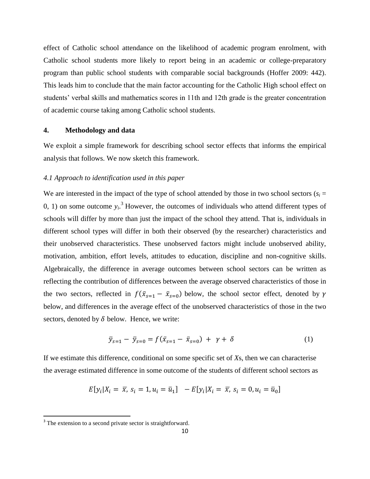effect of Catholic school attendance on the likelihood of academic program enrolment, with Catholic school students more likely to report being in an academic or college-preparatory program than public school students with comparable social backgrounds (Hoffer 2009: 442). This leads him to conclude that the main factor accounting for the Catholic High school effect on students' verbal skills and mathematics scores in 11th and 12th grade is the greater concentration of academic course taking among Catholic school students.

#### **4. Methodology and data**

We exploit a simple framework for describing school sector effects that informs the empirical analysis that follows. We now sketch this framework.

### *4.1 Approach to identification used in this paper*

We are interested in the impact of the type of school attended by those in two school sectors ( $s_i$  = 0, 1) on some outcome  $y_i$ <sup>3</sup>. However, the outcomes of individuals who attend different types of schools will differ by more than just the impact of the school they attend. That is, individuals in different school types will differ in both their observed (by the researcher) characteristics and their unobserved characteristics. These unobserved factors might include unobserved ability, motivation, ambition, effort levels, attitudes to education, discipline and non-cognitive skills. Algebraically, the difference in average outcomes between school sectors can be written as reflecting the contribution of differences between the average observed characteristics of those in the two sectors, reflected in  $f(\bar{x}_{s=1} - \bar{x}_{s=0})$  below, the school sector effect, denoted by below, and differences in the average effect of the unobserved characteristics of those in the two sectors, denoted by  $\delta$  below. Hence, we write:

$$
\bar{y}_{s=1} - \bar{y}_{s=0} = f(\bar{x}_{s=1} - \bar{x}_{s=0}) + \gamma + \delta \tag{1}
$$

If we estimate this difference, conditional on some specific set of *X*s, then we can characterise the average estimated difference in some outcome of the students of different school sectors as

$$
E[y_i|X_i = \overline{x}, s_i = 1, u_i = \overline{u}_1] - E[y_i|X_i = \overline{x}, s_i = 0, u_i = \overline{u}_0]
$$

 $\overline{\phantom{a}}$ 

<sup>&</sup>lt;sup>3</sup> The extension to a second private sector is straightforward.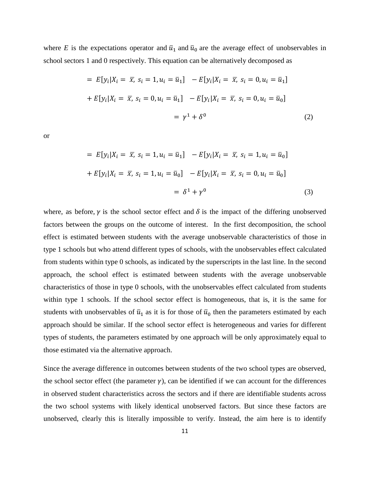where *E* is the expectations operator and  $\bar{u}_1$  and  $\bar{u}_0$  are the average effect of unobservables in school sectors 1 and 0 respectively. This equation can be alternatively decomposed as

$$
= E[y_i|X_i = \overline{x}, s_i = 1, u_i = \overline{u}_1] - E[y_i|X_i = \overline{x}, s_i = 0, u_i = \overline{u}_1]
$$
  
+ 
$$
E[y_i|X_i = \overline{x}, s_i = 0, u_i = \overline{u}_1] - E[y_i|X_i = \overline{x}, s_i = 0, u_i = \overline{u}_0]
$$
  
= 
$$
\gamma^1 + \delta^0
$$
 (2)

or

$$
= E[y_i|X_i = \overline{x}, s_i = 1, u_i = \overline{u}_1] - E[y_i|X_i = \overline{x}, s_i = 1, u_i = \overline{u}_0]
$$
  
+ 
$$
E[y_i|X_i = \overline{x}, s_i = 1, u_i = \overline{u}_0] - E[y_i|X_i = \overline{x}, s_i = 0, u_i = \overline{u}_0]
$$
  
= 
$$
\delta^1 + \gamma^0
$$
 (3)

where, as before,  $\gamma$  is the school sector effect and  $\delta$  is the impact of the differing unobserved factors between the groups on the outcome of interest. In the first decomposition, the school effect is estimated between students with the average unobservable characteristics of those in type 1 schools but who attend different types of schools, with the unobservables effect calculated from students within type 0 schools, as indicated by the superscripts in the last line. In the second approach, the school effect is estimated between students with the average unobservable characteristics of those in type 0 schools, with the unobservables effect calculated from students within type 1 schools. If the school sector effect is homogeneous, that is, it is the same for students with unobservables of  $\bar{u}_1$  as it is for those of  $\bar{u}_0$  then the parameters estimated by each approach should be similar. If the school sector effect is heterogeneous and varies for different types of students, the parameters estimated by one approach will be only approximately equal to those estimated via the alternative approach.

Since the average difference in outcomes between students of the two school types are observed, the school sector effect (the parameter  $\gamma$ ), can be identified if we can account for the differences in observed student characteristics across the sectors and if there are identifiable students across the two school systems with likely identical unobserved factors. But since these factors are unobserved, clearly this is literally impossible to verify. Instead, the aim here is to identify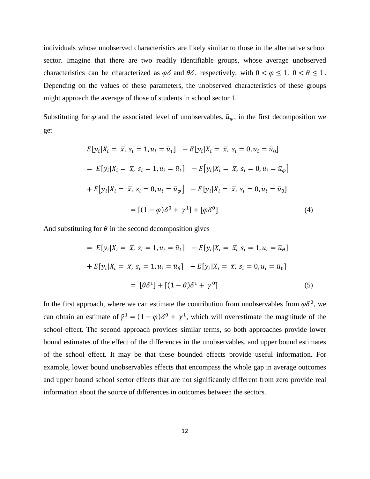individuals whose unobserved characteristics are likely similar to those in the alternative school sector. Imagine that there are two readily identifiable groups, whose average unobserved characteristics can be characterized as  $\varphi \delta$  and  $\theta \delta$ , respectively, with  $0 < \varphi \le 1$ ,  $0 < \theta \le 1$ . Depending on the values of these parameters, the unobserved characteristics of these groups might approach the average of those of students in school sector 1.

Substituting for  $\varphi$  and the associated level of unobservables,  $\bar{u}_{\varphi}$ , in the first decomposition we get

$$
E[y_i|X_i = \overline{x}, s_i = 1, u_i = \overline{u}_1] - E[y_i|X_i = \overline{x}, s_i = 0, u_i = \overline{u}_0]
$$
  
\n
$$
= E[y_i|X_i = \overline{x}, s_i = 1, u_i = \overline{u}_1] - E[y_i|X_i = \overline{x}, s_i = 0, u_i = \overline{u}_\varphi]
$$
  
\n
$$
+ E[y_i|X_i = \overline{x}, s_i = 0, u_i = \overline{u}_\varphi] - E[y_i|X_i = \overline{x}, s_i = 0, u_i = \overline{u}_0]
$$
  
\n
$$
= [(1 - \varphi)\delta^0 + \gamma^1] + [\varphi\delta^0]
$$
(4)

And substituting for  $\theta$  in the second decomposition gives

$$
= E[y_i|X_i = \overline{x}, s_i = 1, u_i = \overline{u}_1] - E[y_i|X_i = \overline{x}, s_i = 1, u_i = \overline{u}_\theta]
$$
  
+ 
$$
E[y_i|X_i = \overline{x}, s_i = 1, u_i = \overline{u}_\theta] - E[y_i|X_i = \overline{x}, s_i = 0, u_i = \overline{u}_0]
$$
  
= 
$$
[\theta \delta^1] + [(1 - \theta)\delta^1 + \gamma^0]
$$
(5)

In the first approach, where we can estimate the contribution from unobservables from  $\varphi \delta^0$ , we can obtain an estimate of  $\hat{\gamma}^1 = (1 - \varphi)\delta^0 + \gamma^1$ , which will overestimate the magnitude of the school effect. The second approach provides similar terms, so both approaches provide lower bound estimates of the effect of the differences in the unobservables, and upper bound estimates of the school effect. It may be that these bounded effects provide useful information. For example, lower bound unobservables effects that encompass the whole gap in average outcomes and upper bound school sector effects that are not significantly different from zero provide real information about the source of differences in outcomes between the sectors.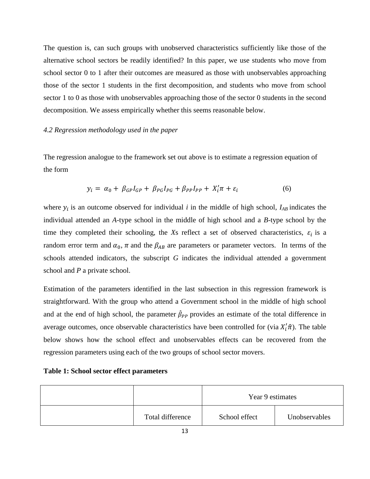The question is, can such groups with unobserved characteristics sufficiently like those of the alternative school sectors be readily identified? In this paper, we use students who move from school sector 0 to 1 after their outcomes are measured as those with unobservables approaching those of the sector 1 students in the first decomposition, and students who move from school sector 1 to 0 as those with unobservables approaching those of the sector 0 students in the second decomposition. We assess empirically whether this seems reasonable below.

### *4.2 Regression methodology used in the paper*

The regression analogue to the framework set out above is to estimate a regression equation of the form

$$
y_i = \alpha_0 + \beta_{GP} I_{GP} + \beta_{PG} I_{PG} + \beta_{PP} I_{PP} + X_i' \pi + \varepsilon_i
$$
\n
$$
\tag{6}
$$

where  $y_i$  is an outcome observed for individual *i* in the middle of high school,  $I_{AB}$  indicates the individual attended an *A*-type school in the middle of high school and a *B*-type school by the time they completed their schooling, the *Xs* reflect a set of observed characteristics,  $\varepsilon_i$  is a random error term and  $\alpha_0$ ,  $\pi$  and the  $\beta_{AB}$  are parameters or parameter vectors. In terms of the schools attended indicators, the subscript *G* indicates the individual attended a government school and *P* a private school.

Estimation of the parameters identified in the last subsection in this regression framework is straightforward. With the group who attend a Government school in the middle of high school and at the end of high school, the parameter  $\hat{\beta}_{PP}$  provides an estimate of the total difference in average outcomes, once observable characteristics have been controlled for (via  $X_i'(\hat{\pi})$ ). The table below shows how the school effect and unobservables effects can be recovered from the regression parameters using each of the two groups of school sector movers.

|                  | Year 9 estimates |               |
|------------------|------------------|---------------|
| Total difference | School effect    | Unobservables |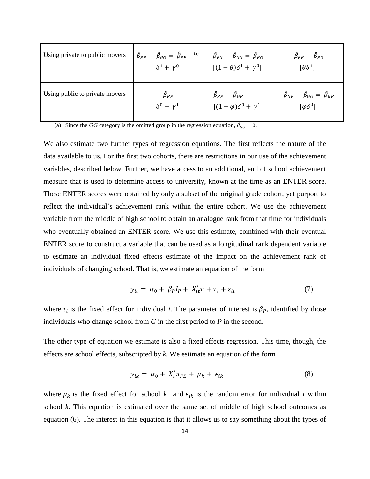| Using private to public movers | (a)<br>$\hat{\beta}_{PP} - \hat{\beta}_{GG} = \hat{\beta}_{PP}$<br>$\delta^1 + \nu^0$ | $\hat{\beta}_{PG} - \hat{\beta}_{GG} = \hat{\beta}_{PG}$<br>$[(1-\theta)\delta^1 + \gamma^0]$ | $\hat{\beta}_{PP} - \hat{\beta}_{PG}$<br>$\lceil \theta \delta^1 \rceil$ |
|--------------------------------|---------------------------------------------------------------------------------------|-----------------------------------------------------------------------------------------------|--------------------------------------------------------------------------|
| Using public to private movers | $\hat{\beta}_{PP}$                                                                    | $\hat{\beta}_{PP} - \hat{\beta}_{GP}$                                                         | $\hat{\beta}_{GP} - \hat{\beta}_{GG} = \hat{\beta}_{GP}$                 |
|                                | $\delta^0 + \nu^1$                                                                    | $[(1 - \varphi)\delta^0 + \gamma^1]$                                                          | $\lceil \varphi \delta^0 \rceil$                                         |

(a) Since the *GG* category is the omitted group in the regression equation,  $\hat{\beta}_{GG} = 0$ .

We also estimate two further types of regression equations. The first reflects the nature of the data available to us. For the first two cohorts, there are restrictions in our use of the achievement variables, described below. Further, we have access to an additional, end of school achievement measure that is used to determine access to university, known at the time as an ENTER score. These ENTER scores were obtained by only a subset of the original grade cohort, yet purport to reflect the individual's achievement rank within the entire cohort. We use the achievement variable from the middle of high school to obtain an analogue rank from that time for individuals who eventually obtained an ENTER score. We use this estimate, combined with their eventual ENTER score to construct a variable that can be used as a longitudinal rank dependent variable to estimate an individual fixed effects estimate of the impact on the achievement rank of individuals of changing school. That is, we estimate an equation of the form

$$
y_{it} = \alpha_0 + \beta_P I_P + X_{it}' \pi + \tau_i + \varepsilon_{it}
$$
\n<sup>(7)</sup>

where  $\tau_i$  is the fixed effect for individual *i*. The parameter of interest is  $\beta_P$ , identified by those individuals who change school from *G* in the first period to *P* in the second.

The other type of equation we estimate is also a fixed effects regression. This time, though, the effects are school effects, subscripted by *k*. We estimate an equation of the form

$$
y_{ik} = \alpha_0 + X'_i \pi_{FE} + \mu_k + \epsilon_{ik} \tag{8}
$$

where  $\mu_k$  is the fixed effect for school  $k$  and  $\epsilon_{ik}$  is the random error for individual *i* within school *k*. This equation is estimated over the same set of middle of high school outcomes as equation (6). The interest in this equation is that it allows us to say something about the types of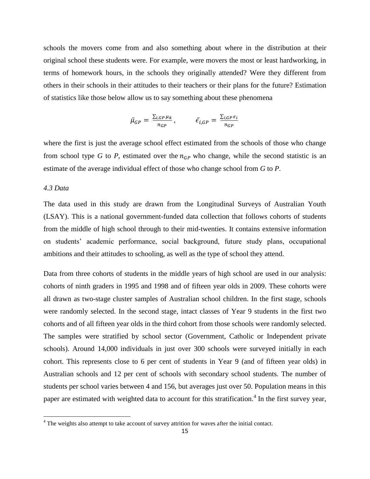schools the movers come from and also something about where in the distribution at their original school these students were. For example, were movers the most or least hardworking, in terms of homework hours, in the schools they originally attended? Were they different from others in their schools in their attitudes to their teachers or their plans for the future? Estimation of statistics like those below allow us to say something about these phenomena

$$
\bar{\mu}_{GP} = \frac{\sum_{i,GP} \mu_k}{n_{GP}}, \qquad \bar{\epsilon}_{i,GP} = \frac{\sum_{i,GP} \epsilon_i}{n_{GP}}
$$

where the first is just the average school effect estimated from the schools of those who change from school type *G* to *P*, estimated over the  $n_{GP}$  who change, while the second statistic is an estimate of the average individual effect of those who change school from *G* to *P*.

### *4.3 Data*

 $\overline{\phantom{a}}$ 

The data used in this study are drawn from the Longitudinal Surveys of Australian Youth (LSAY). This is a national government-funded data collection that follows cohorts of students from the middle of high school through to their mid-twenties. It contains extensive information on students' academic performance, social background, future study plans, occupational ambitions and their attitudes to schooling, as well as the type of school they attend.

Data from three cohorts of students in the middle years of high school are used in our analysis: cohorts of ninth graders in 1995 and 1998 and of fifteen year olds in 2009. These cohorts were all drawn as two-stage cluster samples of Australian school children. In the first stage, schools were randomly selected. In the second stage, intact classes of Year 9 students in the first two cohorts and of all fifteen year olds in the third cohort from those schools were randomly selected. The samples were stratified by school sector (Government, Catholic or Independent private schools). Around 14,000 individuals in just over 300 schools were surveyed initially in each cohort. This represents close to 6 per cent of students in Year 9 (and of fifteen year olds) in Australian schools and 12 per cent of schools with secondary school students. The number of students per school varies between 4 and 156, but averages just over 50. Population means in this paper are estimated with weighted data to account for this stratification.<sup>4</sup> In the first survey year,

<sup>&</sup>lt;sup>4</sup> The weights also attempt to take account of survey attrition for waves after the initial contact.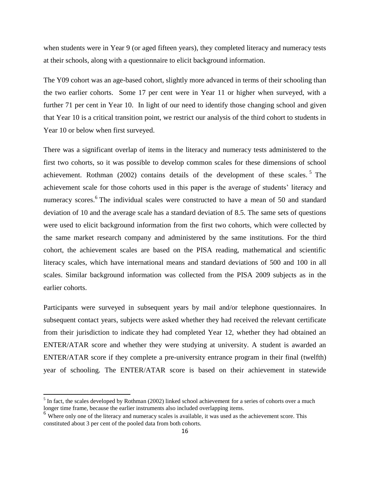when students were in Year 9 (or aged fifteen years), they completed literacy and numeracy tests at their schools, along with a questionnaire to elicit background information.

The Y09 cohort was an age-based cohort, slightly more advanced in terms of their schooling than the two earlier cohorts. Some 17 per cent were in Year 11 or higher when surveyed, with a further 71 per cent in Year 10. In light of our need to identify those changing school and given that Year 10 is a critical transition point, we restrict our analysis of the third cohort to students in Year 10 or below when first surveyed.

There was a significant overlap of items in the literacy and numeracy tests administered to the first two cohorts, so it was possible to develop common scales for these dimensions of school achievement. Rothman  $(2002)$  contains details of the development of these scales.<sup>5</sup> The achievement scale for those cohorts used in this paper is the average of students' literacy and numeracy scores.<sup>6</sup> The individual scales were constructed to have a mean of 50 and standard deviation of 10 and the average scale has a standard deviation of 8.5. The same sets of questions were used to elicit background information from the first two cohorts, which were collected by the same market research company and administered by the same institutions. For the third cohort, the achievement scales are based on the PISA reading, mathematical and scientific literacy scales, which have international means and standard deviations of 500 and 100 in all scales. Similar background information was collected from the PISA 2009 subjects as in the earlier cohorts.

Participants were surveyed in subsequent years by mail and/or telephone questionnaires. In subsequent contact years, subjects were asked whether they had received the relevant certificate from their jurisdiction to indicate they had completed Year 12, whether they had obtained an ENTER/ATAR score and whether they were studying at university. A student is awarded an ENTER/ATAR score if they complete a pre-university entrance program in their final (twelfth) year of schooling. The ENTER/ATAR score is based on their achievement in statewide

 $\overline{\phantom{a}}$ 

 $<sup>5</sup>$  In fact, the scales developed by Rothman (2002) linked school achievement for a series of cohorts over a much</sup> longer time frame, because the earlier instruments also included overlapping items.

<sup>&</sup>lt;sup>6</sup> Where only one of the literacy and numeracy scales is available, it was used as the achievement score. This constituted about 3 per cent of the pooled data from both cohorts.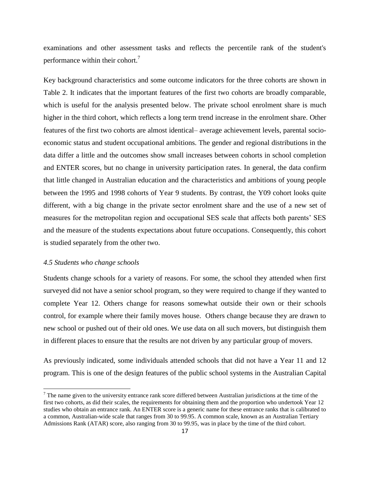examinations and other assessment tasks and reflects the percentile rank of the student's performance within their cohort.<sup>7</sup>

Key background characteristics and some outcome indicators for the three cohorts are shown in Table 2. It indicates that the important features of the first two cohorts are broadly comparable, which is useful for the analysis presented below. The private school enrolment share is much higher in the third cohort, which reflects a long term trend increase in the enrolment share. Other features of the first two cohorts are almost identical– average achievement levels, parental socioeconomic status and student occupational ambitions. The gender and regional distributions in the data differ a little and the outcomes show small increases between cohorts in school completion and ENTER scores, but no change in university participation rates. In general, the data confirm that little changed in Australian education and the characteristics and ambitions of young people between the 1995 and 1998 cohorts of Year 9 students. By contrast, the Y09 cohort looks quite different, with a big change in the private sector enrolment share and the use of a new set of measures for the metropolitan region and occupational SES scale that affects both parents' SES and the measure of the students expectations about future occupations. Consequently, this cohort is studied separately from the other two.

### *4.5 Students who change schools*

 $\overline{\phantom{a}}$ 

Students change schools for a variety of reasons. For some, the school they attended when first surveyed did not have a senior school program, so they were required to change if they wanted to complete Year 12. Others change for reasons somewhat outside their own or their schools control, for example where their family moves house. Others change because they are drawn to new school or pushed out of their old ones. We use data on all such movers, but distinguish them in different places to ensure that the results are not driven by any particular group of movers.

As previously indicated, some individuals attended schools that did not have a Year 11 and 12 program. This is one of the design features of the public school systems in the Australian Capital

 $<sup>7</sup>$  The name given to the university entrance rank score differed between Australian jurisdictions at the time of the</sup> first two cohorts, as did their scales, the requirements for obtaining them and the proportion who undertook Year 12 studies who obtain an entrance rank. An ENTER score is a generic name for these entrance ranks that is calibrated to a common, Australian-wide scale that ranges from 30 to 99.95. A common scale, known as an Australian Tertiary Admissions Rank (ATAR) score, also ranging from 30 to 99.95, was in place by the time of the third cohort.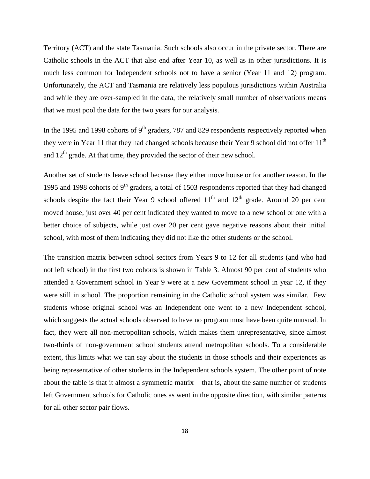Territory (ACT) and the state Tasmania. Such schools also occur in the private sector. There are Catholic schools in the ACT that also end after Year 10, as well as in other jurisdictions. It is much less common for Independent schools not to have a senior (Year 11 and 12) program. Unfortunately, the ACT and Tasmania are relatively less populous jurisdictions within Australia and while they are over-sampled in the data, the relatively small number of observations means that we must pool the data for the two years for our analysis.

In the 1995 and 1998 cohorts of  $9<sup>th</sup>$  graders, 787 and 829 respondents respectively reported when they were in Year 11 that they had changed schools because their Year 9 school did not offer 11<sup>th</sup> and  $12<sup>th</sup>$  grade. At that time, they provided the sector of their new school.

Another set of students leave school because they either move house or for another reason. In the 1995 and 1998 cohorts of  $9<sup>th</sup>$  graders, a total of 1503 respondents reported that they had changed schools despite the fact their Year 9 school offered  $11<sup>th</sup>$  and  $12<sup>th</sup>$  grade. Around 20 per cent moved house, just over 40 per cent indicated they wanted to move to a new school or one with a better choice of subjects, while just over 20 per cent gave negative reasons about their initial school, with most of them indicating they did not like the other students or the school.

The transition matrix between school sectors from Years 9 to 12 for all students (and who had not left school) in the first two cohorts is shown in Table 3. Almost 90 per cent of students who attended a Government school in Year 9 were at a new Government school in year 12, if they were still in school. The proportion remaining in the Catholic school system was similar. Few students whose original school was an Independent one went to a new Independent school, which suggests the actual schools observed to have no program must have been quite unusual. In fact, they were all non-metropolitan schools, which makes them unrepresentative, since almost two-thirds of non-government school students attend metropolitan schools. To a considerable extent, this limits what we can say about the students in those schools and their experiences as being representative of other students in the Independent schools system. The other point of note about the table is that it almost a symmetric matrix – that is, about the same number of students left Government schools for Catholic ones as went in the opposite direction, with similar patterns for all other sector pair flows.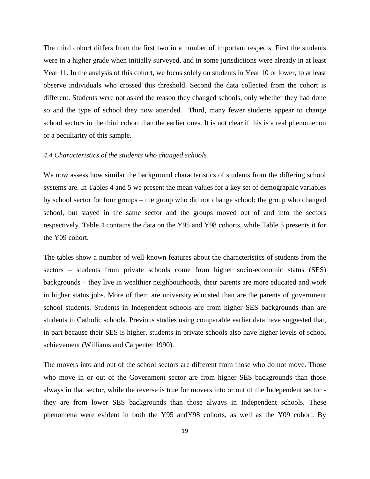The third cohort differs from the first two in a number of important respects. First the students were in a higher grade when initially surveyed, and in some jurisdictions were already in at least Year 11. In the analysis of this cohort, we focus solely on students in Year 10 or lower, to at least observe individuals who crossed this threshold. Second the data collected from the cohort is different. Students were not asked the reason they changed schools, only whether they had done so and the type of school they now attended. Third, many fewer students appear to change school sectors in the third cohort than the earlier ones. It is not clear if this is a real phenomenon or a peculiarity of this sample.

#### *4.4 Characteristics of the students who changed schools*

We now assess how similar the background characteristics of students from the differing school systems are. In Tables 4 and 5 we present the mean values for a key set of demographic variables by school sector for four groups – the group who did not change school; the group who changed school, but stayed in the same sector and the groups moved out of and into the sectors respectively. Table 4 contains the data on the Y95 and Y98 cohorts, while Table 5 presents it for the Y09 cohort.

The tables show a number of well-known features about the characteristics of students from the sectors – students from private schools come from higher socio-economic status (SES) backgrounds – they live in wealthier neighbourhoods, their parents are more educated and work in higher status jobs. More of them are university educated than are the parents of government school students. Students in Independent schools are from higher SES backgrounds than are students in Catholic schools. Previous studies using comparable earlier data have suggested that, in part because their SES is higher, students in private schools also have higher levels of school achievement (Williams and Carpenter 1990).

The movers into and out of the school sectors are different from those who do not move. Those who move in or out of the Government sector are from higher SES backgrounds than those always in that sector, while the reverse is true for movers into or out of the Independent sector they are from lower SES backgrounds than those always in Independent schools. These phenomena were evident in both the Y95 andY98 cohorts, as well as the Y09 cohort. By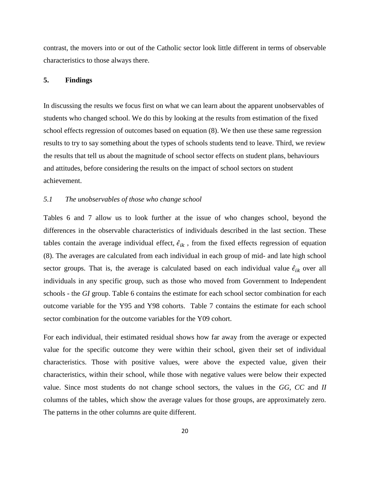contrast, the movers into or out of the Catholic sector look little different in terms of observable characteristics to those always there.

### **5. Findings**

In discussing the results we focus first on what we can learn about the apparent unobservables of students who changed school. We do this by looking at the results from estimation of the fixed school effects regression of outcomes based on equation (8). We then use these same regression results to try to say something about the types of schools students tend to leave. Third, we review the results that tell us about the magnitude of school sector effects on student plans, behaviours and attitudes, before considering the results on the impact of school sectors on student achievement.

### *5.1 The unobservables of those who change school*

Tables 6 and 7 allow us to look further at the issue of who changes school, beyond the differences in the observable characteristics of individuals described in the last section. These tables contain the average individual effect,  $\hat{\epsilon}_{ik}$ , from the fixed effects regression of equation (8). The averages are calculated from each individual in each group of mid- and late high school sector groups. That is, the average is calculated based on each individual value  $\hat{\epsilon}_{ik}$  over all individuals in any specific group, such as those who moved from Government to Independent schools - the *GI* group. Table 6 contains the estimate for each school sector combination for each outcome variable for the Y95 and Y98 cohorts. Table 7 contains the estimate for each school sector combination for the outcome variables for the Y09 cohort.

For each individual, their estimated residual shows how far away from the average or expected value for the specific outcome they were within their school, given their set of individual characteristics. Those with positive values, were above the expected value, given their characteristics, within their school, while those with negative values were below their expected value. Since most students do not change school sectors, the values in the *GG*, *CC* and *II* columns of the tables, which show the average values for those groups, are approximately zero. The patterns in the other columns are quite different.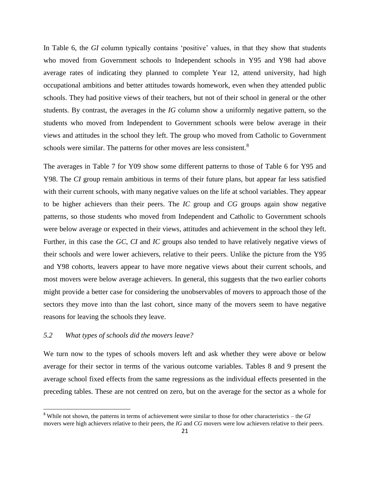In Table 6, the *GI* column typically contains 'positive' values, in that they show that students who moved from Government schools to Independent schools in Y95 and Y98 had above average rates of indicating they planned to complete Year 12, attend university, had high occupational ambitions and better attitudes towards homework, even when they attended public schools. They had positive views of their teachers, but not of their school in general or the other students. By contrast, the averages in the *IG* column show a uniformly negative pattern, so the students who moved from Independent to Government schools were below average in their views and attitudes in the school they left. The group who moved from Catholic to Government schools were similar. The patterns for other moves are less consistent.<sup>8</sup>

The averages in Table 7 for Y09 show some different patterns to those of Table 6 for Y95 and Y98. The *CI* group remain ambitious in terms of their future plans, but appear far less satisfied with their current schools, with many negative values on the life at school variables. They appear to be higher achievers than their peers. The *IC* group and *CG* groups again show negative patterns, so those students who moved from Independent and Catholic to Government schools were below average or expected in their views, attitudes and achievement in the school they left. Further, in this case the *GC*, *CI* and *IC* groups also tended to have relatively negative views of their schools and were lower achievers, relative to their peers. Unlike the picture from the Y95 and Y98 cohorts, leavers appear to have more negative views about their current schools, and most movers were below average achievers. In general, this suggests that the two earlier cohorts might provide a better case for considering the unobservables of movers to approach those of the sectors they move into than the last cohort, since many of the movers seem to have negative reasons for leaving the schools they leave.

### *5.2 What types of schools did the movers leave?*

 $\overline{a}$ 

We turn now to the types of schools movers left and ask whether they were above or below average for their sector in terms of the various outcome variables. Tables 8 and 9 present the average school fixed effects from the same regressions as the individual effects presented in the preceding tables. These are not centred on zero, but on the average for the sector as a whole for

<sup>8</sup> While not shown, the patterns in terms of achievement were similar to those for other characteristics – the *GI* movers were high achievers relative to their peers, the *IG* and *CG* movers were low achievers relative to their peers.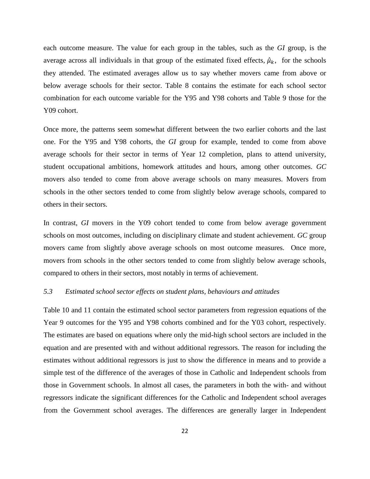each outcome measure. The value for each group in the tables, such as the *GI* group, is the average across all individuals in that group of the estimated fixed effects,  $\hat{\mu}_k$ , for the schools they attended. The estimated averages allow us to say whether movers came from above or below average schools for their sector. Table 8 contains the estimate for each school sector combination for each outcome variable for the Y95 and Y98 cohorts and Table 9 those for the Y09 cohort.

Once more, the patterns seem somewhat different between the two earlier cohorts and the last one. For the Y95 and Y98 cohorts, the *GI* group for example, tended to come from above average schools for their sector in terms of Year 12 completion, plans to attend university, student occupational ambitions, homework attitudes and hours, among other outcomes. *GC* movers also tended to come from above average schools on many measures. Movers from schools in the other sectors tended to come from slightly below average schools, compared to others in their sectors.

In contrast, *GI* movers in the Y09 cohort tended to come from below average government schools on most outcomes, including on disciplinary climate and student achievement. *GC* group movers came from slightly above average schools on most outcome measures. Once more, movers from schools in the other sectors tended to come from slightly below average schools, compared to others in their sectors, most notably in terms of achievement.

### *5.3 Estimated school sector effects on student plans, behaviours and attitudes*

Table 10 and 11 contain the estimated school sector parameters from regression equations of the Year 9 outcomes for the Y95 and Y98 cohorts combined and for the Y03 cohort, respectively. The estimates are based on equations where only the mid-high school sectors are included in the equation and are presented with and without additional regressors. The reason for including the estimates without additional regressors is just to show the difference in means and to provide a simple test of the difference of the averages of those in Catholic and Independent schools from those in Government schools. In almost all cases, the parameters in both the with- and without regressors indicate the significant differences for the Catholic and Independent school averages from the Government school averages. The differences are generally larger in Independent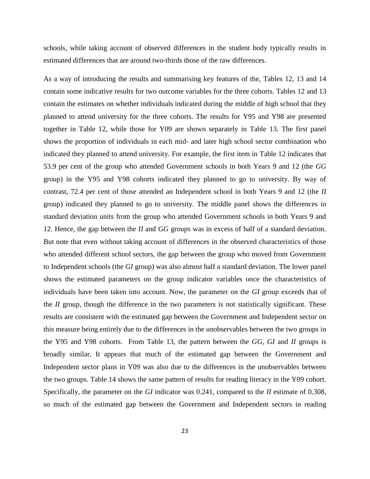schools, while taking account of observed differences in the student body typically results in estimated differences that are around two-thirds those of the raw differences.

As a way of introducing the results and summarising key features of the, Tables 12, 13 and 14 contain some indicative results for two outcome variables for the three cohorts. Tables 12 and 13 contain the estimates on whether individuals indicated during the middle of high school that they planned to attend university for the three cohorts. The results for Y95 and Y98 are presented together in Table 12, while those for Y09 are shown separately in Table 13. The first panel shows the proportion of individuals in each mid- and later high school sector combination who indicated they planned to attend university. For example, the first item in Table 12 indicates that 53.9 per cent of the group who attended Government schools in both Years 9 and 12 (the *GG* group) in the Y95 and Y98 cohorts indicated they planned to go to university. By way of contrast, 72.4 per cent of those attended an Independent school in both Years 9 and 12 (the *II* group) indicated they planned to go to university. The middle panel shows the differences in standard deviation units from the group who attended Government schools in both Years 9 and 12. Hence, the gap between the *II* and *GG* groups was in excess of half of a standard deviation. But note that even without taking account of differences in the observed characteristics of those who attended different school sectors, the gap between the group who moved from Government to Independent schools (the *GI* group) was also almost half a standard deviation. The lower panel shows the estimated parameters on the group indicator variables once the characteristics of individuals have been taken into account. Now, the parameter on the *GI* group exceeds that of the *II* group, though the difference in the two parameters is not statistically significant. These results are consistent with the estimated gap between the Government and Independent sector on this measure being entirely due to the differences in the unobservables between the two groups in the Y95 and Y98 cohorts. From Table 13, the pattern between the *GG*, *GI* and *II* groups is broadly similar. It appears that much of the estimated gap between the Government and Independent sector plans in Y09 was also due to the differences in the unobservables between the two groups. Table 14 shows the same pattern of results for reading literacy in the Y09 cohort. Specifically, the parameter on the *GI* indicator was 0.241, compared to the *II* estimate of 0.308, so much of the estimated gap between the Government and Independent sectors in reading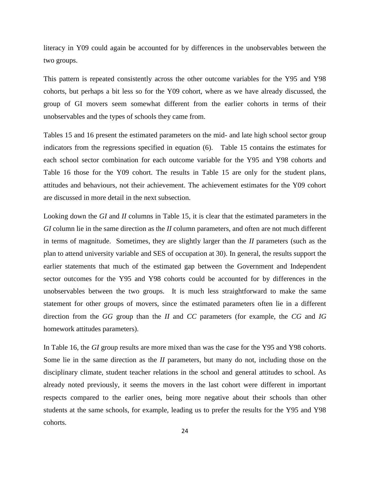literacy in Y09 could again be accounted for by differences in the unobservables between the two groups.

This pattern is repeated consistently across the other outcome variables for the Y95 and Y98 cohorts, but perhaps a bit less so for the Y09 cohort, where as we have already discussed, the group of GI movers seem somewhat different from the earlier cohorts in terms of their unobservables and the types of schools they came from.

Tables 15 and 16 present the estimated parameters on the mid- and late high school sector group indicators from the regressions specified in equation (6). Table 15 contains the estimates for each school sector combination for each outcome variable for the Y95 and Y98 cohorts and Table 16 those for the Y09 cohort. The results in Table 15 are only for the student plans, attitudes and behaviours, not their achievement. The achievement estimates for the Y09 cohort are discussed in more detail in the next subsection.

Looking down the *GI* and *II* columns in Table 15, it is clear that the estimated parameters in the *GI* column lie in the same direction as the *II* column parameters, and often are not much different in terms of magnitude. Sometimes, they are slightly larger than the *II* parameters (such as the plan to attend university variable and SES of occupation at 30). In general, the results support the earlier statements that much of the estimated gap between the Government and Independent sector outcomes for the Y95 and Y98 cohorts could be accounted for by differences in the unobservables between the two groups. It is much less straightforward to make the same statement for other groups of movers, since the estimated parameters often lie in a different direction from the *GG* group than the *II* and *CC* parameters (for example, the *CG* and *IG* homework attitudes parameters).

In Table 16, the *GI* group results are more mixed than was the case for the Y95 and Y98 cohorts. Some lie in the same direction as the *II* parameters, but many do not, including those on the disciplinary climate, student teacher relations in the school and general attitudes to school. As already noted previously, it seems the movers in the last cohort were different in important respects compared to the earlier ones, being more negative about their schools than other students at the same schools, for example, leading us to prefer the results for the Y95 and Y98 cohorts.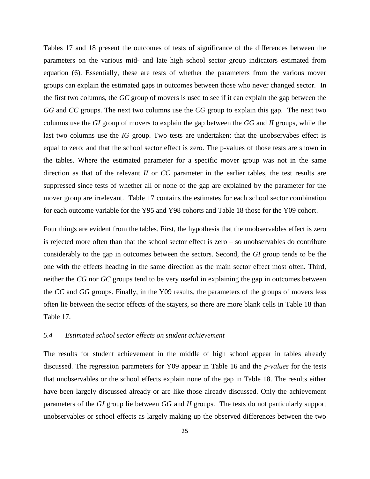Tables 17 and 18 present the outcomes of tests of significance of the differences between the parameters on the various mid- and late high school sector group indicators estimated from equation (6). Essentially, these are tests of whether the parameters from the various mover groups can explain the estimated gaps in outcomes between those who never changed sector. In the first two columns, the *GC* group of movers is used to see if it can explain the gap between the *GG* and *CC* groups. The next two columns use the *CG* group to explain this gap. The next two columns use the *GI* group of movers to explain the gap between the *GG* and *II* groups, while the last two columns use the *IG* group. Two tests are undertaken: that the unobservabes effect is equal to zero; and that the school sector effect is zero. The p-values of those tests are shown in the tables. Where the estimated parameter for a specific mover group was not in the same direction as that of the relevant *II* or *CC* parameter in the earlier tables, the test results are suppressed since tests of whether all or none of the gap are explained by the parameter for the mover group are irrelevant. Table 17 contains the estimates for each school sector combination for each outcome variable for the Y95 and Y98 cohorts and Table 18 those for the Y09 cohort.

Four things are evident from the tables. First, the hypothesis that the unobservables effect is zero is rejected more often than that the school sector effect is zero – so unobservables do contribute considerably to the gap in outcomes between the sectors. Second, the *GI* group tends to be the one with the effects heading in the same direction as the main sector effect most often. Third, neither the *CG* nor *GC* groups tend to be very useful in explaining the gap in outcomes between the *CC* and *GG* groups. Finally, in the Y09 results, the parameters of the groups of movers less often lie between the sector effects of the stayers, so there are more blank cells in Table 18 than Table 17.

### *5.4 Estimated school sector effects on student achievement*

The results for student achievement in the middle of high school appear in tables already discussed. The regression parameters for Y09 appear in Table 16 and the *p-values* for the tests that unobservables or the school effects explain none of the gap in Table 18. The results either have been largely discussed already or are like those already discussed. Only the achievement parameters of the *GI* group lie between *GG* and *II* groups. The tests do not particularly support unobservables or school effects as largely making up the observed differences between the two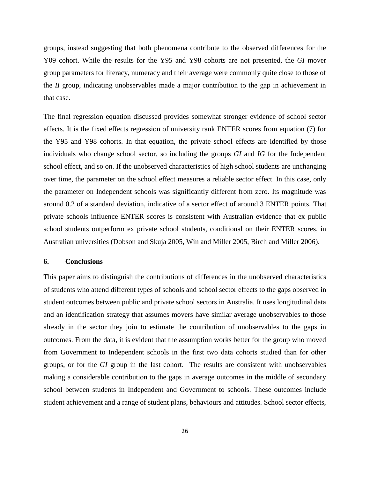groups, instead suggesting that both phenomena contribute to the observed differences for the Y09 cohort. While the results for the Y95 and Y98 cohorts are not presented, the *GI* mover group parameters for literacy, numeracy and their average were commonly quite close to those of the *II* group, indicating unobservables made a major contribution to the gap in achievement in that case.

The final regression equation discussed provides somewhat stronger evidence of school sector effects. It is the fixed effects regression of university rank ENTER scores from equation (7) for the Y95 and Y98 cohorts. In that equation, the private school effects are identified by those individuals who change school sector, so including the groups *GI* and *IG* for the Independent school effect, and so on. If the unobserved characteristics of high school students are unchanging over time, the parameter on the school effect measures a reliable sector effect. In this case, only the parameter on Independent schools was significantly different from zero. Its magnitude was around 0.2 of a standard deviation, indicative of a sector effect of around 3 ENTER points. That private schools influence ENTER scores is consistent with Australian evidence that ex public school students outperform ex private school students, conditional on their ENTER scores, in Australian universities (Dobson and Skuja 2005, Win and Miller 2005, Birch and Miller 2006).

#### **6. Conclusions**

This paper aims to distinguish the contributions of differences in the unobserved characteristics of students who attend different types of schools and school sector effects to the gaps observed in student outcomes between public and private school sectors in Australia. It uses longitudinal data and an identification strategy that assumes movers have similar average unobservables to those already in the sector they join to estimate the contribution of unobservables to the gaps in outcomes. From the data, it is evident that the assumption works better for the group who moved from Government to Independent schools in the first two data cohorts studied than for other groups, or for the *GI* group in the last cohort. The results are consistent with unobservables making a considerable contribution to the gaps in average outcomes in the middle of secondary school between students in Independent and Government to schools. These outcomes include student achievement and a range of student plans, behaviours and attitudes. School sector effects,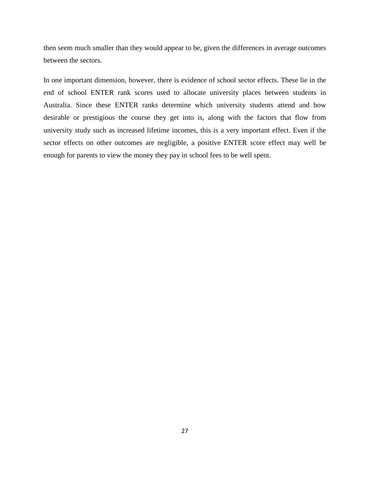then seem much smaller than they would appear to be, given the differences in average outcomes between the sectors.

In one important dimension, however, there is evidence of school sector effects. These lie in the end of school ENTER rank scores used to allocate university places between students in Australia. Since these ENTER ranks determine which university students attend and how desirable or prestigious the course they get into is, along with the factors that flow from university study such as increased lifetime incomes, this is a very important effect. Even if the sector effects on other outcomes are negligible, a positive ENTER score effect may well be enough for parents to view the money they pay in school fees to be well spent.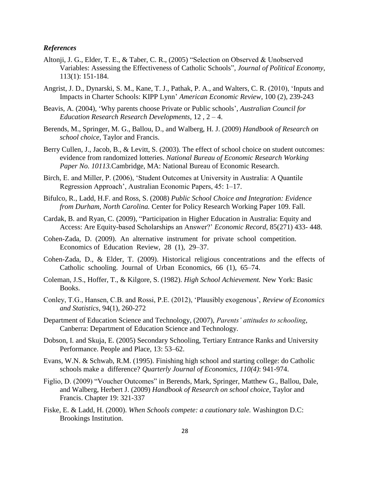#### *References*

- Altonji, J. G., Elder, T. E., & Taber, C. R., (2005) "Selection on Observed & Unobserved Variables: Assessing the Effectiveness of Catholic Schools"*, Journal of Political Economy*, 113(1): 151-184.
- Angrist, J. D., Dynarski, S. M., Kane, T. J., Pathak, P. A., and Walters, C. R. (2010), 'Inputs and Impacts in Charter Schools: KIPP Lynn' *American Economic Review,* 100 (2), 239-243
- Beavis, A. (2004), 'Why parents choose Private or Public schools', *Australian Council for Education Research Research Developments,* 12 , 2 – 4.
- Berends, M., Springer, M. G., Ballou, D., and Walberg, H. J. (2009) *Handbook of Research on school choice*, Taylor and Francis.
- Berry Cullen, J., Jacob, B., & Levitt, S. (2003). The effect of school choice on student outcomes: evidence from randomized lotteries. *National Bureau of Economic Research Working Paper No. 10113.*Cambridge, MA: National Bureau of Economic Research.
- Birch, E. and Miller, P. (2006), 'Student Outcomes at University in Australia: A Quantile Regression Approach', Australian Economic Papers, 45: 1–17.
- Bifulco, R., Ladd, H.F. and Ross, S. (2008) *Public School Choice and Integration: Evidence from Durham, North Carolina.* Center for Policy Research Working Paper 109. Fall.
- Cardak, B. and Ryan, C. (2009), "Participation in Higher Education in Australia: Equity and Access: Are Equity-based Scholarships an Answer?' *Economic Record*, 85(271) 433- 448.
- Cohen-Zada, D. (2009). An alternative instrument for private school competition. Economics of Education Review, 28 (1), 29–37.
- Cohen-Zada, D., & Elder, T. (2009). Historical religious concentrations and the effects of Catholic schooling. Journal of Urban Economics, 66 (1), 65–74.
- Coleman, J.S., Hoffer, T., & Kilgore, S. (1982). *High School Achievement.* New York: Basic Books.
- Conley, T.G., Hansen, C.B. and Rossi, P.E. (2012), 'Plausibly exogenous', *Review of Economics and Statistics*, 94(1), 260-272
- Department of Education Science and Technology, (2007), *Parents' attitudes to schooling*, Canberra: Department of Education Science and Technology.
- Dobson, I. and Skuja, E. (2005) Secondary Schooling, Tertiary Entrance Ranks and University Performance. People and Place, 13: 53–62.
- Evans, W.N. & Schwab, R.M. (1995). Finishing high school and starting college: do Catholic schools make a difference? *Quarterly Journal of Economics, 110(4)*: 941-974.
- Figlio, D. (2009) "Voucher Outcomes" in Berends, Mark, Springer, Matthew G., Ballou, Dale, and Walberg, Herbert J. (2009) *Handbook of Research on school choice*, Taylor and Francis. Chapter 19: 321-337
- Fiske, E. & Ladd, H. (2000). *When Schools compete: a cautionary tale.* Washington D.C: Brookings Institution.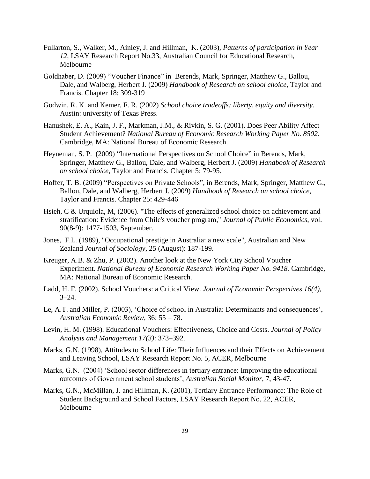- Fullarton, S., Walker, M., Ainley, J. and Hillman, K. (2003), *Patterns of participation in Year 12*, LSAY Research Report No.33, Australian Council for Educational Research, Melbourne
- Goldhaber, D. (2009) "Voucher Finance" in Berends, Mark, Springer, Matthew G., Ballou, Dale, and Walberg, Herbert J. (2009) *Handbook of Research on school choice*, Taylor and Francis. Chapter 18: 309-319
- Godwin, R. K. and Kemer, F. R. (2002) *School choice tradeoffs: liberty, equity and diversity*. Austin: university of Texas Press.
- Hanushek, E. A., Kain, J. F., Markman, J.M., & Rivkin, S. G. (2001). Does Peer Ability Affect Student Achievement? *National Bureau of Economic Research Working Paper No. 8502.* Cambridge, MA: National Bureau of Economic Research.
- Heyneman, S. P. (2009) "International Perspectives on School Choice" in Berends, Mark, Springer, Matthew G., Ballou, Dale, and Walberg, Herbert J. (2009) *Handbook of Research on school choice*, Taylor and Francis. Chapter 5: 79-95.
- Hoffer, T. B. (2009) "Perspectives on Private Schools", in Berends, Mark, Springer, Matthew G., Ballou, Dale, and Walberg, Herbert J. (2009) *Handbook of Research on school choice*, Taylor and Francis. Chapter 25: 429-446
- Hsieh, C & Urquiola, M, (2006). "The [effects of generalized school choice on achievement and](http://ideas.repec.org/a/eee/pubeco/v90y2006i8-9p1477-1503.html)  [stratification: Evidence from Chile's voucher program,](http://ideas.repec.org/a/eee/pubeco/v90y2006i8-9p1477-1503.html)" *[Journal of Public Economics](http://ideas.repec.org/s/eee/pubeco.html)*, vol. 90(8-9): 1477-1503, September.
- Jones, F.L. (1989), "Occupational prestige in Australia: a new scale", Australian and New Zealand *Journal of Sociology*, 25 (August): 187-199.
- Kreuger, A.B. & Zhu, P. (2002). Another look at the New York City School Voucher Experiment. *National Bureau of Economic Research Working Paper No. 9418.* Cambridge, MA: National Bureau of Economic Research.
- Ladd, H. F. (2002). School Vouchers: a Critical View. *Journal of Economic Perspectives 16(4),*  $3 - 24.$
- Le, A.T. and Miller, P. (2003), 'Choice of school in Australia: Determinants and consequences', *Australian Economic Review*, 36: 55 – 78.
- Levin, H. M. (1998). Educational Vouchers: Effectiveness, Choice and Costs. *Journal of Policy Analysis and Management 17(3)*: 373–392.
- Marks, G.N. (1998), Attitudes to School Life: Their Influences and their Effects on Achievement and Leaving School, LSAY Research Report No. 5, ACER, Melbourne
- Marks, G.N. (2004) 'School sector differences in tertiary entrance: Improving the educational outcomes of Government school students', *Australian Social Monitor*, 7, 43-47.
- Marks, G.N., McMillan, J. and Hillman, K. (2001), Tertiary Entrance Performance: The Role of Student Background and School Factors, LSAY Research Report No. 22, ACER, Melbourne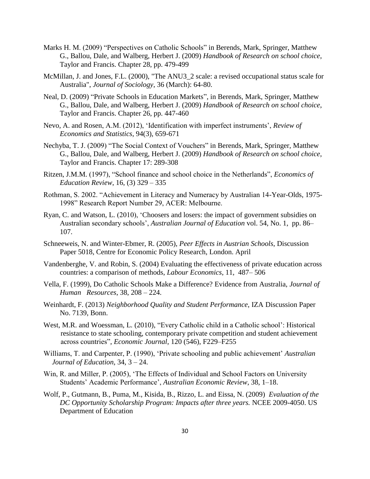- Marks H. M. (2009) "Perspectives on Catholic Schools" in Berends, Mark, Springer, Matthew G., Ballou, Dale, and Walberg, Herbert J. (2009) *Handbook of Research on school choice*, Taylor and Francis. Chapter 28, pp. 479-499
- McMillan, J. and Jones, F.L. (2000), "The ANU3\_2 scale: a revised occupational status scale for Australia", *Journal of Sociology*, 36 (March): 64-80.
- Neal, D. (2009) "Private Schools in Education Markets", in Berends, Mark, Springer, Matthew G., Ballou, Dale, and Walberg, Herbert J. (2009) *Handbook of Research on school choice*, Taylor and Francis. Chapter 26, pp. 447-460
- Nevo, A. and Rosen, A.M. (2012), 'Identification with imperfect instruments', *Review of Economics and Statistics*, 94(3), 659-671
- Nechyba, T. J. (2009) "The Social Context of Vouchers" in Berends, Mark, Springer, Matthew G., Ballou, Dale, and Walberg, Herbert J. (2009) *Handbook of Research on school choice*, Taylor and Francis. Chapter 17: 289-308
- Ritzen, J.M.M. (1997), "School finance and school choice in the Netherlands", *Economics of Education Review*, 16, (3) 329 – 335
- Rothman, S. 2002. "Achievement in Literacy and Numeracy by Australian 14-Year-Olds, 1975- 1998" Research Report Number 29, ACER: Melbourne.
- Ryan, C. and Watson, L. (2010), 'Choosers and losers: the impact of government subsidies on Australian secondary schools', *Australian Journal of Education* vol. 54, No. 1, pp. 86– 107.
- Schneeweis, N. and Winter-Ebmer, R. (2005), *Peer Effects in Austrian Schools*, Discussion Paper 5018, Centre for Economic Policy Research, London. April
- Vandenberghe, V. and Robin, S. (2004) Evaluating the effectiveness of private education across countries: a comparison of methods, *Labour Economics*, 11, 487– 506
- Vella, F. (1999), Do Catholic Schools Make a Difference? Evidence from Australia, *Journal of Human Resources*, 38, 208 – 224.
- Weinhardt, F. (2013) *Neighborhood Quality and Student Performance*, IZA [Discussion Paper](http://ftp.iza.org/dp7139.pdf)  [No. 7139,](http://ftp.iza.org/dp7139.pdf) Bonn.
- West, M.R. and Woessman, L. (2010), "Every Catholic child in a Catholic school': Historical resistance to state schooling, contemporary private competition and student achievement across countries", *Economic Journal*, 120 (546), F229–F255
- Williams, T. and Carpenter, P. (1990), 'Private schooling and public achievement' *Australian Journal of Education*, 34, 3 – 24.
- Win, R. and Miller, P. (2005), 'The Effects of Individual and School Factors on University Students' Academic Performance', *Australian Economic Review*, 38, 1–18.
- Wolf, P., Gutmann, B., Puma, M., Kisida, B., Rizzo, L. and Eissa, N. (2009) *Evaluation of the DC Opportunity Scholarship Program: Impacts after three years.* NCEE 2009-4050. US Department of Education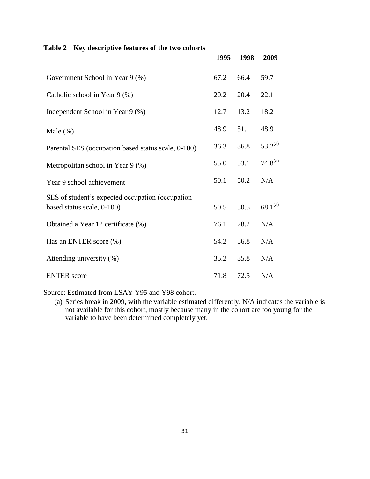| They acocriptive readings of the two conor to                                  | 1995 | 1998 | 2009         |
|--------------------------------------------------------------------------------|------|------|--------------|
| Government School in Year 9 (%)                                                | 67.2 | 66.4 | 59.7         |
| Catholic school in Year 9 (%)                                                  | 20.2 | 20.4 | 22.1         |
| Independent School in Year 9 (%)                                               | 12.7 | 13.2 | 18.2         |
| Male $(\%)$                                                                    | 48.9 | 51.1 | 48.9         |
| Parental SES (occupation based status scale, 0-100)                            | 36.3 | 36.8 | $53.2^{(a)}$ |
| Metropolitan school in Year 9 (%)                                              | 55.0 | 53.1 | $74.8^{(a)}$ |
| Year 9 school achievement                                                      | 50.1 | 50.2 | N/A          |
| SES of student's expected occupation (occupation<br>based status scale, 0-100) | 50.5 | 50.5 | $68.1^{(a)}$ |
| Obtained a Year 12 certificate (%)                                             | 76.1 | 78.2 | N/A          |
| Has an ENTER score (%)                                                         | 54.2 | 56.8 | N/A          |
| Attending university (%)                                                       | 35.2 | 35.8 | N/A          |
| <b>ENTER</b> score                                                             | 71.8 | 72.5 | N/A          |

## **Table 2 Key descriptive features of the two cohorts**

Source: Estimated from LSAY Y95 and Y98 cohort.

(a) Series break in 2009, with the variable estimated differently. N/A indicates the variable is not available for this cohort, mostly because many in the cohort are too young for the variable to have been determined completely yet.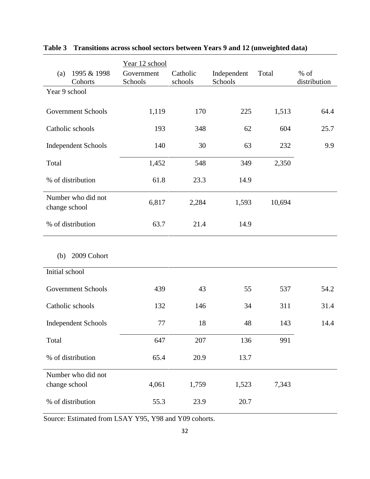|                                     |             | Year 12 school        |                     |                        |        |                        |
|-------------------------------------|-------------|-----------------------|---------------------|------------------------|--------|------------------------|
| (a)<br>Cohorts                      | 1995 & 1998 | Government<br>Schools | Catholic<br>schools | Independent<br>Schools | Total  | $%$ of<br>distribution |
| Year 9 school                       |             |                       |                     |                        |        |                        |
| <b>Government Schools</b>           |             | 1,119                 | 170                 | 225                    | 1,513  | 64.4                   |
| Catholic schools                    |             | 193                   | 348                 | 62                     | 604    | 25.7                   |
| <b>Independent Schools</b>          |             | 140                   | 30                  | 63                     | 232    | 9.9                    |
| Total                               |             | 1,452                 | 548                 | 349                    | 2,350  |                        |
| % of distribution                   |             | 61.8                  | 23.3                | 14.9                   |        |                        |
| Number who did not<br>change school |             | 6,817                 | 2,284               | 1,593                  | 10,694 |                        |
| % of distribution                   |             | 63.7                  | 21.4                | 14.9                   |        |                        |
| (b)                                 | 2009 Cohort |                       |                     |                        |        |                        |
| Initial school                      |             |                       |                     |                        |        |                        |
| <b>Government Schools</b>           |             | 439                   | 43                  | 55                     | 537    | 54.2                   |
| Catholic schools                    |             | 132                   | 146                 | 34                     | 311    | 31.4                   |
| <b>Independent Schools</b>          |             | 77                    | 18                  | 48                     | 143    | 14.4                   |
| Total                               |             | 647                   | 207                 | 136                    | 991    |                        |
| % of distribution                   |             | 65.4                  | 20.9                | 13.7                   |        |                        |
| Number who did not<br>change school |             | 4,061                 | 1,759               | 1,523                  | 7,343  |                        |
| % of distribution                   |             | 55.3                  | 23.9                | 20.7                   |        |                        |

## **Table 3 Transitions across school sectors between Years 9 and 12 (unweighted data)**

Source: Estimated from LSAY Y95, Y98 and Y09 cohorts.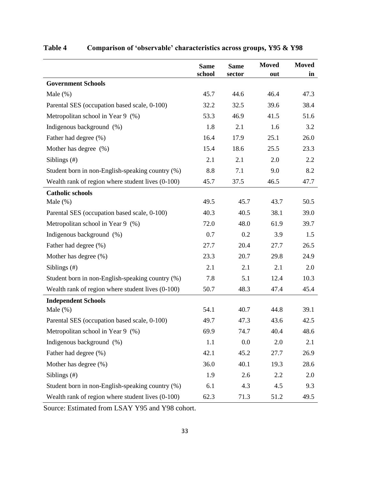|                                                   | <b>Same</b> | <b>Same</b> | <b>Moved</b> | <b>Moved</b> |
|---------------------------------------------------|-------------|-------------|--------------|--------------|
|                                                   | school      | sector      | out          | in           |
| <b>Government Schools</b>                         |             |             |              |              |
| Male $(\%)$                                       | 45.7        | 44.6        | 46.4         | 47.3         |
| Parental SES (occupation based scale, 0-100)      | 32.2        | 32.5        | 39.6         | 38.4         |
| Metropolitan school in Year 9 (%)                 | 53.3        | 46.9        | 41.5         | 51.6         |
| Indigenous background (%)                         | 1.8         | 2.1         | 1.6          | 3.2          |
| Father had degree (%)                             | 16.4        | 17.9        | 25.1         | 26.0         |
| Mother has degree (%)                             | 15.4        | 18.6        | 25.5         | 23.3         |
| Siblings $(\#)$                                   | 2.1         | 2.1         | 2.0          | 2.2          |
| Student born in non-English-speaking country (%)  | 8.8         | 7.1         | 9.0          | 8.2          |
| Wealth rank of region where student lives (0-100) | 45.7        | 37.5        | 46.5         | 47.7         |
| <b>Catholic schools</b>                           |             |             |              |              |
| Male $(\%)$                                       | 49.5        | 45.7        | 43.7         | 50.5         |
| Parental SES (occupation based scale, 0-100)      | 40.3        | 40.5        | 38.1         | 39.0         |
| Metropolitan school in Year 9 (%)                 | 72.0        | 48.0        | 61.9         | 39.7         |
| Indigenous background (%)                         | 0.7         | 0.2         | 3.9          | 1.5          |
| Father had degree (%)                             | 27.7        | 20.4        | 27.7         | 26.5         |
| Mother has degree (%)                             | 23.3        | 20.7        | 29.8         | 24.9         |
| Siblings $(\#)$                                   | 2.1         | 2.1         | 2.1          | 2.0          |
| Student born in non-English-speaking country (%)  | 7.8         | 5.1         | 12.4         | 10.3         |
| Wealth rank of region where student lives (0-100) | 50.7        | 48.3        | 47.4         | 45.4         |
| <b>Independent Schools</b>                        |             |             |              |              |
| Male $(\%)$                                       | 54.1        | 40.7        | 44.8         | 39.1         |
| Parental SES (occupation based scale, 0-100)      | 49.7        | 47.3        | 43.6         | 42.5         |
| Metropolitan school in Year 9 (%)                 | 69.9        | 74.7        | 40.4         | 48.6         |
| Indigenous background (%)                         | 1.1         | 0.0         | 2.0          | 2.1          |
| Father had degree (%)                             | 42.1        | 45.2        | 27.7         | 26.9         |
| Mother has degree (%)                             | 36.0        | 40.1        | 19.3         | 28.6         |
| Siblings (#)                                      | 1.9         | 2.6         | 2.2          | 2.0          |
| Student born in non-English-speaking country (%)  | 6.1         | 4.3         | 4.5          | 9.3          |
| Wealth rank of region where student lives (0-100) | 62.3        | 71.3        | 51.2         | 49.5         |

## **Table 4 Comparison of 'observable' characteristics across groups, Y95 & Y98**

Source: Estimated from LSAY Y95 and Y98 cohort.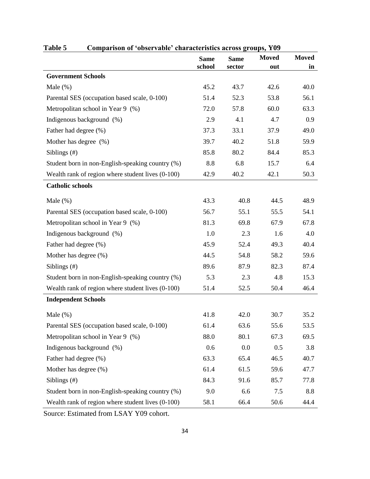| $\cdots$                                          | chai acternation act opp<br><b>Same</b> | <b>Same</b> | <b>Moved</b> | <b>Moved</b> |
|---------------------------------------------------|-----------------------------------------|-------------|--------------|--------------|
|                                                   | school                                  | sector      | out          | in           |
| <b>Government Schools</b>                         |                                         |             |              |              |
| Male $(\%)$                                       | 45.2                                    | 43.7        | 42.6         | 40.0         |
| Parental SES (occupation based scale, 0-100)      | 51.4                                    | 52.3        | 53.8         | 56.1         |
| Metropolitan school in Year 9 (%)                 | 72.0                                    | 57.8        | 60.0         | 63.3         |
| Indigenous background (%)                         | 2.9                                     | 4.1         | 4.7          | 0.9          |
| Father had degree (%)                             | 37.3                                    | 33.1        | 37.9         | 49.0         |
| Mother has degree (%)                             | 39.7                                    | 40.2        | 51.8         | 59.9         |
| Siblings $(\#)$                                   | 85.8                                    | 80.2        | 84.4         | 85.3         |
| Student born in non-English-speaking country (%)  | 8.8                                     | 6.8         | 15.7         | 6.4          |
| Wealth rank of region where student lives (0-100) | 42.9                                    | 40.2        | 42.1         | 50.3         |
| <b>Catholic schools</b>                           |                                         |             |              |              |
| Male $(\%)$                                       | 43.3                                    | 40.8        | 44.5         | 48.9         |
| Parental SES (occupation based scale, 0-100)      | 56.7                                    | 55.1        | 55.5         | 54.1         |
| Metropolitan school in Year 9 (%)                 | 81.3                                    | 69.8        | 67.9         | 67.8         |
| Indigenous background (%)                         | 1.0                                     | 2.3         | 1.6          | 4.0          |
| Father had degree (%)                             | 45.9                                    | 52.4        | 49.3         | 40.4         |
| Mother has degree (%)                             | 44.5                                    | 54.8        | 58.2         | 59.6         |
| Siblings (#)                                      | 89.6                                    | 87.9        | 82.3         | 87.4         |
| Student born in non-English-speaking country (%)  | 5.3                                     | 2.3         | 4.8          | 15.3         |
| Wealth rank of region where student lives (0-100) | 51.4                                    | 52.5        | 50.4         | 46.4         |
| <b>Independent Schools</b>                        |                                         |             |              |              |
| Male $(\%)$                                       | 41.8                                    | 42.0        | 30.7         | 35.2         |
| Parental SES (occupation based scale, 0-100)      | 61.4                                    | 63.6        | 55.6         | 53.5         |
| Metropolitan school in Year 9 (%)                 | 88.0                                    | 80.1        | 67.3         | 69.5         |
| Indigenous background (%)                         | 0.6                                     | 0.0         | 0.5          | 3.8          |
| Father had degree (%)                             | 63.3                                    | 65.4        | 46.5         | 40.7         |
| Mother has degree (%)                             | 61.4                                    | 61.5        | 59.6         | 47.7         |
| Siblings (#)                                      | 84.3                                    | 91.6        | 85.7         | 77.8         |
| Student born in non-English-speaking country (%)  | 9.0                                     | 6.6         | 7.5          | 8.8          |
| Wealth rank of region where student lives (0-100) | 58.1                                    | 66.4        | 50.6         | 44.4         |

## **Table 5 Comparison of 'observable' characteristics across groups, Y09**

Source: Estimated from LSAY Y09 cohort.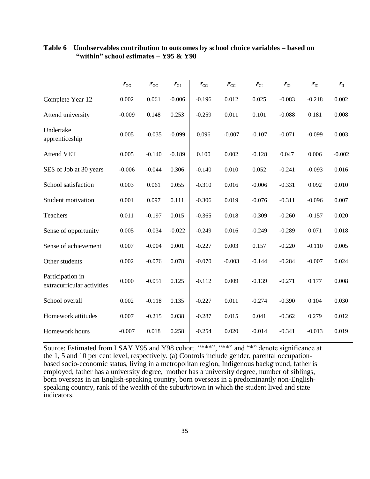|                                                | $\bar{\epsilon}_{\rm GG}$ | $\bar{\epsilon}_{\rm GC}$ | $\bar{\epsilon_{\rm GI}}$ | $\bar{\epsilon}_{\rm CG}$ | $\bar{\epsilon}_{\rm CC}$ | $\bar{\epsilon}_{\rm CI}$ | $\bar{\epsilon}_{\rm IG}$ | $\bar{\epsilon}_{\rm IC}$ | $\bar{\epsilon_{\rm II}}$ |
|------------------------------------------------|---------------------------|---------------------------|---------------------------|---------------------------|---------------------------|---------------------------|---------------------------|---------------------------|---------------------------|
| Complete Year 12                               | 0.002                     | 0.061                     | $-0.006$                  | $-0.196$                  | 0.012                     | 0.025                     | $-0.083$                  | $-0.218$                  | 0.002                     |
| Attend university                              | $-0.009$                  | 0.148                     | 0.253                     | $-0.259$                  | 0.011                     | 0.101                     | $-0.088$                  | 0.181                     | 0.008                     |
| Undertake<br>apprenticeship                    | 0.005                     | $-0.035$                  | $-0.099$                  | 0.096                     | $-0.007$                  | $-0.107$                  | $-0.071$                  | $-0.099$                  | 0.003                     |
| <b>Attend VET</b>                              | 0.005                     | $-0.140$                  | $-0.189$                  | 0.100                     | 0.002                     | $-0.128$                  | 0.047                     | 0.006                     | $-0.002$                  |
| SES of Job at 30 years                         | $-0.006$                  | $-0.044$                  | 0.306                     | $-0.140$                  | 0.010                     | 0.052                     | $-0.241$                  | $-0.093$                  | 0.016                     |
| School satisfaction                            | 0.003                     | 0.061                     | 0.055                     | $-0.310$                  | 0.016                     | $-0.006$                  | $-0.331$                  | 0.092                     | 0.010                     |
| Student motivation                             | 0.001                     | 0.097                     | 0.111                     | $-0.306$                  | 0.019                     | $-0.076$                  | $-0.311$                  | $-0.096$                  | 0.007                     |
| Teachers                                       | 0.011                     | $-0.197$                  | 0.015                     | $-0.365$                  | 0.018                     | $-0.309$                  | $-0.260$                  | $-0.157$                  | 0.020                     |
| Sense of opportunity                           | 0.005                     | $-0.034$                  | $-0.022$                  | $-0.249$                  | 0.016                     | $-0.249$                  | $-0.289$                  | 0.071                     | 0.018                     |
| Sense of achievement                           | 0.007                     | $-0.004$                  | 0.001                     | $-0.227$                  | 0.003                     | 0.157                     | $-0.220$                  | $-0.110$                  | 0.005                     |
| Other students                                 | 0.002                     | $-0.076$                  | 0.078                     | $-0.070$                  | $-0.003$                  | $-0.144$                  | $-0.284$                  | $-0.007$                  | 0.024                     |
| Participation in<br>extracurricular activities | 0.000                     | $-0.051$                  | 0.125                     | $-0.112$                  | 0.009                     | $-0.139$                  | $-0.271$                  | 0.177                     | 0.008                     |
| School overall                                 | 0.002                     | $-0.118$                  | 0.135                     | $-0.227$                  | 0.011                     | $-0.274$                  | $-0.390$                  | 0.104                     | 0.030                     |
| Homework attitudes                             | 0.007                     | $-0.215$                  | 0.038                     | $-0.287$                  | 0.015                     | 0.041                     | $-0.362$                  | 0.279                     | 0.012                     |
| Homework hours                                 | $-0.007$                  | 0.018                     | 0.258                     | $-0.254$                  | 0.020                     | $-0.014$                  | $-0.341$                  | $-0.013$                  | 0.019                     |

## **Table 6 Unobservables contribution to outcomes by school choice variables – based on "within" school estimates – Y95 & Y98**

Source: Estimated from LSAY Y95 and Y98 cohort. "\*\*\*", "\*\*" and "\*" denote significance at the 1, 5 and 10 per cent level, respectively. (a) Controls include gender, parental occupationbased socio-economic status, living in a metropolitan region, Indigenous background, father is employed, father has a university degree, mother has a university degree, number of siblings, born overseas in an English-speaking country, born overseas in a predominantly non-Englishspeaking country, rank of the wealth of the suburb/town in which the student lived and state indicators.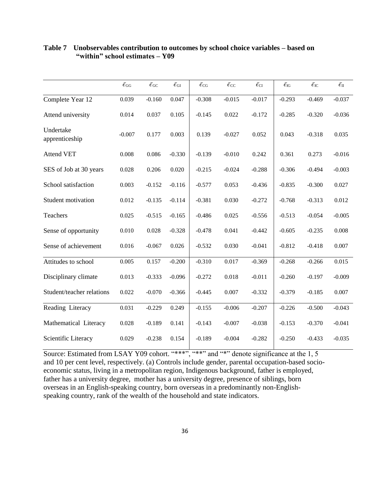|                             | $\bar{\epsilon}_{\rm GG}$ | $\bar{\epsilon}_{\rm GC}$ | $\bar{\epsilon_{\rm GI}}$ | $\bar{\epsilon}_{\rm CG}$ | $\bar{\epsilon}_{\rm CC}$ | $\bar{\epsilon}_{\rm CI}$ | $\bar{\epsilon}_{\rm IG}$ | $\bar{\epsilon}_{\rm IC}$ | $\bar{\epsilon_{\rm II}}$ |
|-----------------------------|---------------------------|---------------------------|---------------------------|---------------------------|---------------------------|---------------------------|---------------------------|---------------------------|---------------------------|
| Complete Year 12            | 0.039                     | $-0.160$                  | 0.047                     | $-0.308$                  | $-0.015$                  | $-0.017$                  | $-0.293$                  | $-0.469$                  | $-0.037$                  |
| Attend university           | 0.014                     | 0.037                     | 0.105                     | $-0.145$                  | 0.022                     | $-0.172$                  | $-0.285$                  | $-0.320$                  | $-0.036$                  |
| Undertake<br>apprenticeship | $-0.007$                  | 0.177                     | 0.003                     | 0.139                     | $-0.027$                  | 0.052                     | 0.043                     | $-0.318$                  | 0.035                     |
| <b>Attend VET</b>           | 0.008                     | 0.086                     | $-0.330$                  | $-0.139$                  | $-0.010$                  | 0.242                     | 0.361                     | 0.273                     | $-0.016$                  |
| SES of Job at 30 years      | 0.028                     | 0.206                     | 0.020                     | $-0.215$                  | $-0.024$                  | $-0.288$                  | $-0.306$                  | $-0.494$                  | $-0.003$                  |
| School satisfaction         | 0.003                     | $-0.152$                  | $-0.116$                  | $-0.577$                  | 0.053                     | $-0.436$                  | $-0.835$                  | $-0.300$                  | 0.027                     |
| Student motivation          | 0.012                     | $-0.135$                  | $-0.114$                  | $-0.381$                  | 0.030                     | $-0.272$                  | $-0.768$                  | $-0.313$                  | 0.012                     |
| Teachers                    | 0.025                     | $-0.515$                  | $-0.165$                  | $-0.486$                  | 0.025                     | $-0.556$                  | $-0.513$                  | $-0.054$                  | $-0.005$                  |
| Sense of opportunity        | 0.010                     | 0.028                     | $-0.328$                  | $-0.478$                  | 0.041                     | $-0.442$                  | $-0.605$                  | $-0.235$                  | 0.008                     |
| Sense of achievement        | 0.016                     | $-0.067$                  | 0.026                     | $-0.532$                  | 0.030                     | $-0.041$                  | $-0.812$                  | $-0.418$                  | 0.007                     |
| Attitudes to school         | 0.005                     | 0.157                     | $-0.200$                  | $-0.310$                  | 0.017                     | $-0.369$                  | $-0.268$                  | $-0.266$                  | 0.015                     |
| Disciplinary climate        | 0.013                     | $-0.333$                  | $-0.096$                  | $-0.272$                  | 0.018                     | $-0.011$                  | $-0.260$                  | $-0.197$                  | $-0.009$                  |
| Student/teacher relations   | 0.022                     | $-0.070$                  | $-0.366$                  | $-0.445$                  | 0.007                     | $-0.332$                  | $-0.379$                  | $-0.185$                  | 0.007                     |
| Reading Literacy            | 0.031                     | $-0.229$                  | 0.249                     | $-0.155$                  | $-0.006$                  | $-0.207$                  | $-0.226$                  | $-0.500$                  | $-0.043$                  |
| Mathematical Literacy       | 0.028                     | $-0.189$                  | 0.141                     | $-0.143$                  | $-0.007$                  | $-0.038$                  | $-0.153$                  | $-0.370$                  | $-0.041$                  |
| Scientific Literacy         | 0.029                     | $-0.238$                  | 0.154                     | $-0.189$                  | $-0.004$                  | $-0.282$                  | $-0.250$                  | $-0.433$                  | $-0.035$                  |

## **Table 7 Unobservables contribution to outcomes by school choice variables – based on "within" school estimates – Y09**

Source: Estimated from LSAY Y09 cohort. "\*\*\*", "\*\*" and "\*" denote significance at the 1, 5 and 10 per cent level, respectively. (a) Controls include gender, parental occupation-based socioeconomic status, living in a metropolitan region, Indigenous background, father is employed, father has a university degree, mother has a university degree, presence of siblings, born overseas in an English-speaking country, born overseas in a predominantly non-Englishspeaking country, rank of the wealth of the household and state indicators.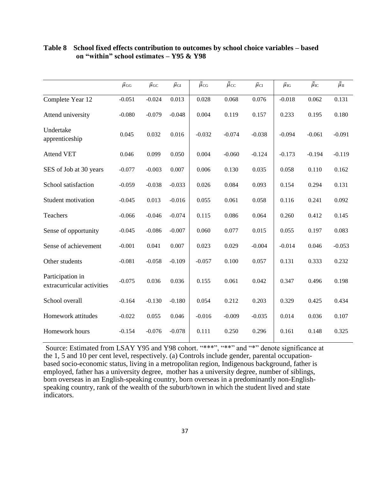|                                                | $\bar{\mu}_{\rm GG}$ | $\bar{\mu}_{\rm GC}$ | $\bar{\mu}_{\rm GI}$ | $\bar{\bar{\mu}}_{CG}$ | $\bar{\bar{\mu}}_{\text{CC}}$ | $\bar{\mu}_{\rm CI}$ | $\bar{\mu}_{\text{IG}}$ | $\bar{\bar{\mu}}_{\rm IC}$ | $\bar{\bar{\mu}}_{II}$ |
|------------------------------------------------|----------------------|----------------------|----------------------|------------------------|-------------------------------|----------------------|-------------------------|----------------------------|------------------------|
| Complete Year 12                               | $-0.051$             | $-0.024$             | 0.013                | 0.028                  | 0.068                         | 0.076                | $-0.018$                | 0.062                      | 0.131                  |
| Attend university                              | $-0.080$             | $-0.079$             | $-0.048$             | 0.004                  | 0.119                         | 0.157                | 0.233                   | 0.195                      | 0.180                  |
| Undertake<br>apprenticeship                    | 0.045                | 0.032                | 0.016                | $-0.032$               | $-0.074$                      | $-0.038$             | $-0.094$                | $-0.061$                   | $-0.091$               |
| <b>Attend VET</b>                              | 0.046                | 0.099                | 0.050                | 0.004                  | $-0.060$                      | $-0.124$             | $-0.173$                | $-0.194$                   | $-0.119$               |
| SES of Job at 30 years                         | $-0.077$             | $-0.003$             | 0.007                | 0.006                  | 0.130                         | 0.035                | 0.058                   | 0.110                      | 0.162                  |
| School satisfaction                            | $-0.059$             | $-0.038$             | $-0.033$             | 0.026                  | 0.084                         | 0.093                | 0.154                   | 0.294                      | 0.131                  |
| Student motivation                             | $-0.045$             | 0.013                | $-0.016$             | 0.055                  | 0.061                         | 0.058                | 0.116                   | 0.241                      | 0.092                  |
| Teachers                                       | $-0.066$             | $-0.046$             | $-0.074$             | 0.115                  | 0.086                         | 0.064                | 0.260                   | 0.412                      | 0.145                  |
| Sense of opportunity                           | $-0.045$             | $-0.086$             | $-0.007$             | 0.060                  | 0.077                         | 0.015                | 0.055                   | 0.197                      | 0.083                  |
| Sense of achievement                           | $-0.001$             | 0.041                | 0.007                | 0.023                  | 0.029                         | $-0.004$             | $-0.014$                | 0.046                      | $-0.053$               |
| Other students                                 | $-0.081$             | $-0.058$             | $-0.109$             | $-0.057$               | 0.100                         | 0.057                | 0.131                   | 0.333                      | 0.232                  |
| Participation in<br>extracurricular activities | $-0.075$             | 0.036                | 0.036                | 0.155                  | 0.061                         | 0.042                | 0.347                   | 0.496                      | 0.198                  |
| School overall                                 | $-0.164$             | $-0.130$             | $-0.180$             | 0.054                  | 0.212                         | 0.203                | 0.329                   | 0.425                      | 0.434                  |
| Homework attitudes                             | $-0.022$             | 0.055                | 0.046                | $-0.016$               | $-0.009$                      | $-0.035$             | 0.014                   | 0.036                      | 0.107                  |
| Homework hours                                 | $-0.154$             | $-0.076$             | $-0.078$             | 0.111                  | 0.250                         | 0.296                | 0.161                   | 0.148                      | 0.325                  |

## **Table 8 School fixed effects contribution to outcomes by school choice variables – based on "within" school estimates – Y95 & Y98**

Source: Estimated from LSAY Y95 and Y98 cohort. "\*\*\*", "\*\*" and "\*" denote significance at the 1, 5 and 10 per cent level, respectively. (a) Controls include gender, parental occupationbased socio-economic status, living in a metropolitan region, Indigenous background, father is employed, father has a university degree, mother has a university degree, number of siblings, born overseas in an English-speaking country, born overseas in a predominantly non-Englishspeaking country, rank of the wealth of the suburb/town in which the student lived and state indicators.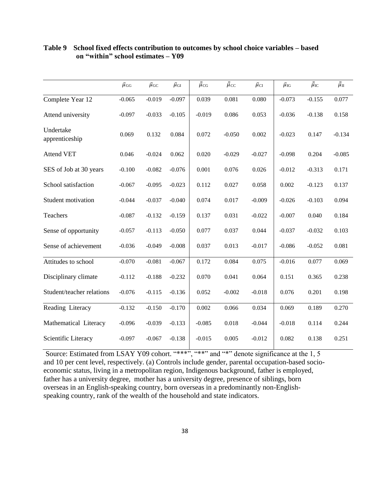|                             | $\bar{\mu}_{\rm GG}$ | $\bar{\mu}_{\rm GC}$ | $\bar{\mu}_{\rm GI}$ | $\bar{\bar{\mu}}_{CG}$ | $\bar{\bar{\mu}}_{\text{CC}}$ | $\bar{\mu}_{\rm CI}$ | $\bar{\mu}_{\text{IG}}$ | $\bar{\bar{\mu}}_{\rm IC}$ | $\bar{\bar{\mu}}_{\rm II}$ |
|-----------------------------|----------------------|----------------------|----------------------|------------------------|-------------------------------|----------------------|-------------------------|----------------------------|----------------------------|
| Complete Year 12            | $-0.065$             | $-0.019$             | $-0.097$             | 0.039                  | 0.081                         | 0.080                | $-0.073$                | $-0.155$                   | 0.077                      |
| Attend university           | $-0.097$             | $-0.033$             | $-0.105$             | $-0.019$               | 0.086                         | 0.053                | $-0.036$                | $-0.138$                   | 0.158                      |
| Undertake<br>apprenticeship | 0.069                | 0.132                | 0.084                | 0.072                  | $-0.050$                      | 0.002                | $-0.023$                | 0.147                      | $-0.134$                   |
| <b>Attend VET</b>           | 0.046                | $-0.024$             | 0.062                | 0.020                  | $-0.029$                      | $-0.027$             | $-0.098$                | 0.204                      | $-0.085$                   |
| SES of Job at 30 years      | $-0.100$             | $-0.082$             | $-0.076$             | 0.001                  | 0.076                         | 0.026                | $-0.012$                | $-0.313$                   | 0.171                      |
| School satisfaction         | $-0.067$             | $-0.095$             | $-0.023$             | 0.112                  | 0.027                         | 0.058                | 0.002                   | $-0.123$                   | 0.137                      |
| Student motivation          | $-0.044$             | $-0.037$             | $-0.040$             | 0.074                  | 0.017                         | $-0.009$             | $-0.026$                | $-0.103$                   | 0.094                      |
| Teachers                    | $-0.087$             | $-0.132$             | $-0.159$             | 0.137                  | 0.031                         | $-0.022$             | $-0.007$                | 0.040                      | 0.184                      |
| Sense of opportunity        | $-0.057$             | $-0.113$             | $-0.050$             | 0.077                  | 0.037                         | 0.044                | $-0.037$                | $-0.032$                   | 0.103                      |
| Sense of achievement        | $-0.036$             | $-0.049$             | $-0.008$             | 0.037                  | 0.013                         | $-0.017$             | $-0.086$                | $-0.052$                   | 0.081                      |
| Attitudes to school         | $-0.070$             | $-0.081$             | $-0.067$             | 0.172                  | 0.084                         | 0.075                | $-0.016$                | 0.077                      | 0.069                      |
| Disciplinary climate        | $-0.112$             | $-0.188$             | $-0.232$             | 0.070                  | 0.041                         | 0.064                | 0.151                   | 0.365                      | 0.238                      |
| Student/teacher relations   | $-0.076$             | $-0.115$             | $-0.136$             | 0.052                  | $-0.002$                      | $-0.018$             | 0.076                   | 0.201                      | 0.198                      |
| Reading Literacy            | $-0.132$             | $-0.150$             | $-0.170$             | 0.002                  | 0.066                         | 0.034                | 0.069                   | 0.189                      | 0.270                      |
| Mathematical Literacy       | $-0.096$             | $-0.039$             | $-0.133$             | $-0.085$               | 0.018                         | $-0.044$             | $-0.018$                | 0.114                      | 0.244                      |
| Scientific Literacy         | $-0.097$             | $-0.067$             | $-0.138$             | $-0.015$               | 0.005                         | $-0.012$             | 0.082                   | 0.138                      | 0.251                      |

## **Table 9 School fixed effects contribution to outcomes by school choice variables – based on "within" school estimates – Y09**

Source: Estimated from LSAY Y09 cohort. "\*\*\*", "\*\*" and "\*" denote significance at the 1, 5 and 10 per cent level, respectively. (a) Controls include gender, parental occupation-based socioeconomic status, living in a metropolitan region, Indigenous background, father is employed, father has a university degree, mother has a university degree, presence of siblings, born overseas in an English-speaking country, born overseas in a predominantly non-Englishspeaking country, rank of the wealth of the household and state indicators.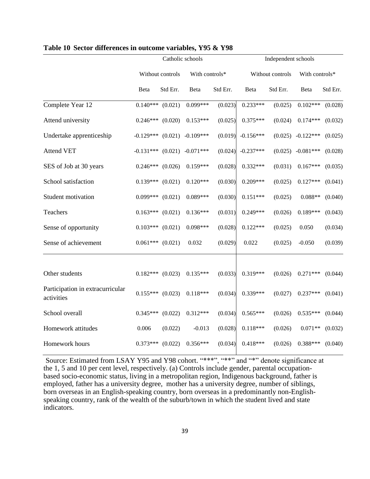|                                                |                      |                  | Catholic schools    |          | Independent schools |                  |                     |          |  |
|------------------------------------------------|----------------------|------------------|---------------------|----------|---------------------|------------------|---------------------|----------|--|
|                                                |                      | Without controls | With controls*      |          |                     | Without controls | With controls*      |          |  |
|                                                | Beta                 | Std Err.         | Beta                | Std Err. | Beta                | Std Err.         | Beta                | Std Err. |  |
| Complete Year 12                               | $0.140***$           | (0.021)          | $0.099***$          | (0.023)  | $0.233***$          | (0.025)          | $0.102***$          | (0.028)  |  |
| Attend university                              | $0.246***$           | (0.020)          | $0.153***$          | (0.025)  | $0.375***$          | (0.024)          | $0.174***$          | (0.032)  |  |
| Undertake apprenticeship                       | $-0.129***$          |                  | $(0.021)$ -0.109*** | (0.019)  | $-0.156***$         |                  | $(0.025)$ -0.122*** | (0.025)  |  |
| <b>Attend VET</b>                              | $-0.131***$ (0.021)  |                  | $-0.071***$         | (0.024)  | $-0.237***$         |                  | $(0.025)$ -0.081*** | (0.028)  |  |
| SES of Job at 30 years                         | $0.246***$ $(0.026)$ |                  | $0.159***$          | (0.028)  | $0.332***$          | (0.031)          | $0.167***$          | (0.035)  |  |
| School satisfaction                            | $0.139***$           | (0.021)          | $0.120***$          | (0.030)  | $0.209***$          | (0.025)          | $0.127***$          | (0.041)  |  |
| Student motivation                             | $0.099***$           | (0.021)          | $0.089***$          | (0.030)  | $0.151***$          | (0.025)          | $0.088**$           | (0.040)  |  |
| Teachers                                       | $0.163***$ $(0.021)$ |                  | $0.136***$          | (0.031)  | $0.249***$          | (0.026)          | $0.189***$          | (0.043)  |  |
| Sense of opportunity                           | $0.103***$ $(0.021)$ |                  | $0.098***$          | (0.028)  | $0.122***$          | (0.025)          | 0.050               | (0.034)  |  |
| Sense of achievement                           | $0.061***$ $(0.021)$ |                  | 0.032               | (0.029)  | 0.022               | (0.025)          | $-0.050$            | (0.039)  |  |
|                                                |                      |                  |                     |          |                     |                  |                     |          |  |
| Other students                                 | $0.182***$ (0.023)   |                  | $0.135***$          | (0.033)  | $0.319***$          | (0.026)          | $0.271***$          | (0.044)  |  |
| Participation in extracurricular<br>activities | $0.155***$ (0.023)   |                  | $0.118***$          | (0.034)  | $0.339***$          | (0.027)          | $0.237***$          | (0.041)  |  |
| School overall                                 | $0.345***$           | (0.022)          | $0.312***$          | (0.034)  | $0.565***$          | (0.026)          | $0.535***$          | (0.044)  |  |
| Homework attitudes                             | 0.006                | (0.022)          | $-0.013$            | (0.028)  | $0.118***$          | (0.026)          | $0.071**$           | (0.032)  |  |
| Homework hours                                 | $0.373***$           | (0.022)          | $0.356***$          | (0.034)  | $0.418***$          | (0.026)          | 0.388***            | (0.040)  |  |

### **Table 10 Sector differences in outcome variables, Y95 & Y98**

Source: Estimated from LSAY Y95 and Y98 cohort. "\*\*\*", "\*\*" and "\*" denote significance at the 1, 5 and 10 per cent level, respectively. (a) Controls include gender, parental occupationbased socio-economic status, living in a metropolitan region, Indigenous background, father is employed, father has a university degree, mother has a university degree, number of siblings, born overseas in an English-speaking country, born overseas in a predominantly non-Englishspeaking country, rank of the wealth of the suburb/town in which the student lived and state indicators.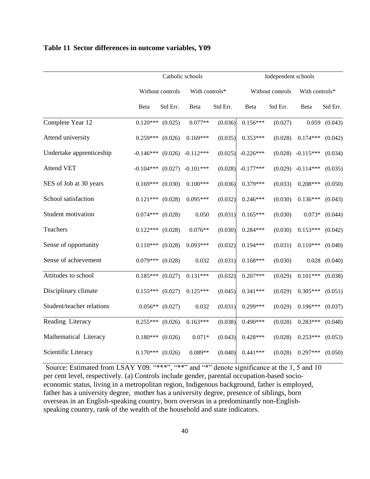## **Table 11 Sector differences in outcome variables, Y09**

|                           |                      | Catholic schools  | Independent schools             |                |             |                  |             |                   |
|---------------------------|----------------------|-------------------|---------------------------------|----------------|-------------|------------------|-------------|-------------------|
|                           |                      | Without controls  |                                 | With controls* |             | Without controls |             | With controls*    |
|                           | Beta                 | Std Err.          | Beta                            | Std Err.       | Beta        | Std Err.         | Beta        | Std Err.          |
| Complete Year 12          | $0.120***$ $(0.025)$ |                   | $0.077**$                       | (0.036)        | $0.156***$  | (0.027)          |             | $0.059$ $(0.043)$ |
| Attend university         | $0.259***$ $(0.026)$ |                   | $0.169***$                      | (0.035)        | $0.353***$  | (0.028)          | $0.174***$  | (0.042)           |
| Undertake apprenticeship  |                      |                   | $-0.146***$ (0.026) $-0.112***$ | (0.025)        | $-0.226***$ | (0.028)          | $-0.115***$ | (0.034)           |
| <b>Attend VET</b>         | $-0.104***$ (0.027)  |                   | $-0.101***$                     | (0.028)        | $-0.177***$ | (0.029)          | $-0.114***$ | (0.035)           |
| SES of Job at 30 years    | $0.169***$ $(0.030)$ |                   | $0.100***$                      | (0.036)        | $0.379***$  | (0.033)          | $0.208***$  | (0.050)           |
| School satisfaction       | $0.121***$ $(0.028)$ |                   | $0.095***$                      | (0.032)        | $0.246***$  | (0.030)          | $0.136***$  | (0.043)           |
| Student motivation        | $0.074***$ $(0.028)$ |                   | 0.050                           | (0.031)        | $0.165***$  | (0.030)          | $0.073*$    | (0.044)           |
| Teachers                  | $0.122***$ $(0.028)$ |                   | $0.076**$                       | (0.030)        | $0.284***$  | (0.030)          | $0.153***$  | (0.042)           |
| Sense of opportunity      | $0.110***$ $(0.028)$ |                   | $0.093***$                      | (0.032)        | $0.194***$  | (0.031)          | $0.110***$  | (0.040)           |
| Sense of achievement      | $0.079***$ $(0.028)$ |                   | 0.032                           | (0.031)        | $0.168***$  | (0.030)          | 0.028       | (0.040)           |
| Attitudes to school       | $0.185***$ $(0.027)$ |                   | $0.131***$                      | (0.032)        | $0.207***$  | (0.029)          | $0.101***$  | (0.038)           |
| Disciplinary climate      | $0.155***$ $(0.027)$ |                   | $0.125***$                      | (0.045)        | $0.341***$  | (0.029)          | $0.305***$  | (0.051)           |
| Student/teacher relations |                      | $0.056**$ (0.027) | 0.032                           | (0.031)        | $0.299***$  | (0.029)          | $0.196***$  | (0.037)           |
| Reading Literacy          | $0.255***$ $(0.026)$ |                   | $0.163***$                      | (0.038)        | $0.490***$  | (0.028)          | $0.283***$  | (0.048)           |
| Mathematical Literacy     | $0.180***$ $(0.026)$ |                   | $0.071*$                        | (0.043)        | $0.428***$  | (0.028)          | $0.253***$  | (0.053)           |
| Scientific Literacy       | $0.170***$ $(0.026)$ |                   | $0.089**$                       | (0.040)        | $0.441***$  | (0.028)          | $0.297***$  | (0.050)           |

Source: Estimated from LSAY Y09. "\*\*\*", "\*\*" and "\*" denote significance at the 1, 5 and 10 per cent level, respectively. (a) Controls include gender, parental occupation-based socioeconomic status, living in a metropolitan region, Indigenous background, father is employed, father has a university degree, mother has a university degree, presence of siblings, born overseas in an English-speaking country, born overseas in a predominantly non-Englishspeaking country, rank of the wealth of the household and state indicators.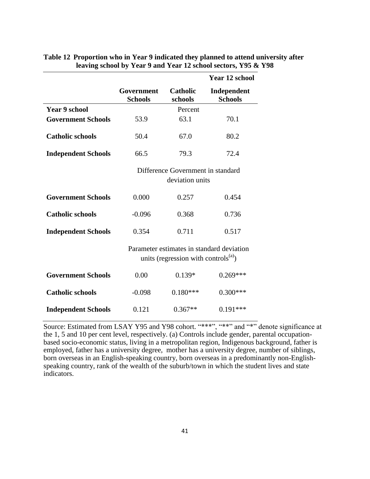|                            |                                                      |                                            | <b>Year 12 school</b>                     |  |  |  |  |
|----------------------------|------------------------------------------------------|--------------------------------------------|-------------------------------------------|--|--|--|--|
|                            | Government<br><b>Schools</b>                         | <b>Catholic</b><br>schools                 | Independent<br><b>Schools</b>             |  |  |  |  |
| <b>Year 9 school</b>       |                                                      | Percent                                    |                                           |  |  |  |  |
| <b>Government Schools</b>  | 53.9                                                 | 63.1                                       | 70.1                                      |  |  |  |  |
| <b>Catholic schools</b>    | 50.4                                                 | 67.0                                       | 80.2                                      |  |  |  |  |
| <b>Independent Schools</b> | 66.5                                                 | 79.3                                       | 72.4                                      |  |  |  |  |
|                            | Difference Government in standard<br>deviation units |                                            |                                           |  |  |  |  |
| <b>Government Schools</b>  | 0.000                                                | 0.257                                      | 0.454                                     |  |  |  |  |
| <b>Catholic schools</b>    | $-0.096$                                             | 0.368                                      | 0.736                                     |  |  |  |  |
| <b>Independent Schools</b> | 0.354                                                | 0.711                                      | 0.517                                     |  |  |  |  |
|                            |                                                      | units (regression with controls $^{(a)}$ ) | Parameter estimates in standard deviation |  |  |  |  |
| <b>Government Schools</b>  | 0.00                                                 | $0.139*$                                   | $0.269***$                                |  |  |  |  |
| <b>Catholic schools</b>    | $-0.098$                                             | $0.180***$                                 | $0.300***$                                |  |  |  |  |
| <b>Independent Schools</b> | 0.121                                                | $0.367**$                                  | $0.191***$                                |  |  |  |  |

## **Table 12 Proportion who in Year 9 indicated they planned to attend university after leaving school by Year 9 and Year 12 school sectors, Y95 & Y98**

Source: Estimated from LSAY Y95 and Y98 cohort. "\*\*\*", "\*\*" and "\*" denote significance at the 1, 5 and 10 per cent level, respectively. (a) Controls include gender, parental occupationbased socio-economic status, living in a metropolitan region, Indigenous background, father is employed, father has a university degree, mother has a university degree, number of siblings, born overseas in an English-speaking country, born overseas in a predominantly non-Englishspeaking country, rank of the wealth of the suburb/town in which the student lives and state indicators.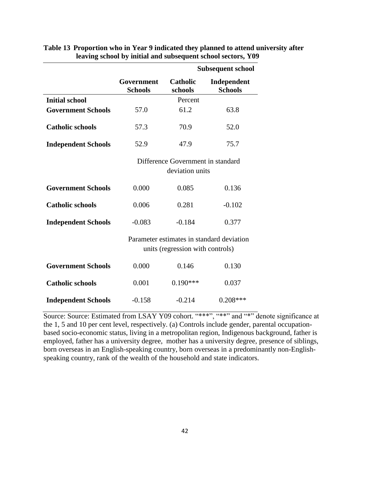|                            |                                                      |                                  | <b>Subsequent school</b>                  |  |  |  |  |
|----------------------------|------------------------------------------------------|----------------------------------|-------------------------------------------|--|--|--|--|
|                            | Government<br><b>Schools</b>                         | <b>Catholic</b><br>schools       | Independent<br><b>Schools</b>             |  |  |  |  |
| <b>Initial school</b>      |                                                      | Percent                          |                                           |  |  |  |  |
| <b>Government Schools</b>  | 57.0                                                 | 61.2                             | 63.8                                      |  |  |  |  |
| <b>Catholic schools</b>    | 57.3                                                 | 70.9                             | 52.0                                      |  |  |  |  |
| <b>Independent Schools</b> | 52.9                                                 | 47.9                             | 75.7                                      |  |  |  |  |
|                            | Difference Government in standard<br>deviation units |                                  |                                           |  |  |  |  |
| <b>Government Schools</b>  | 0.000                                                | 0.085                            | 0.136                                     |  |  |  |  |
| <b>Catholic schools</b>    | 0.006                                                | 0.281                            | $-0.102$                                  |  |  |  |  |
| <b>Independent Schools</b> | $-0.083$                                             | $-0.184$                         | 0.377                                     |  |  |  |  |
|                            |                                                      | units (regression with controls) | Parameter estimates in standard deviation |  |  |  |  |
| <b>Government Schools</b>  | 0.000                                                | 0.146                            | 0.130                                     |  |  |  |  |
| <b>Catholic schools</b>    | 0.001                                                | $0.190***$                       | 0.037                                     |  |  |  |  |
| <b>Independent Schools</b> | $-0.158$                                             | $-0.214$                         | $0.208***$                                |  |  |  |  |

## **Table 13 Proportion who in Year 9 indicated they planned to attend university after leaving school by initial and subsequent school sectors, Y09**

Source: Source: Estimated from LSAY Y09 cohort. "\*\*\*", "\*\*" and "\*" denote significance at the 1, 5 and 10 per cent level, respectively. (a) Controls include gender, parental occupationbased socio-economic status, living in a metropolitan region, Indigenous background, father is employed, father has a university degree, mother has a university degree, presence of siblings, born overseas in an English-speaking country, born overseas in a predominantly non-Englishspeaking country, rank of the wealth of the household and state indicators.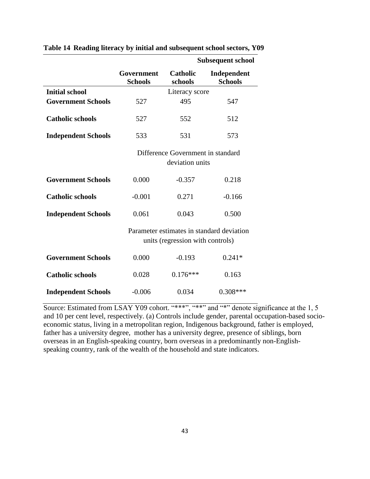|                            |                                                      |                                  | <b>Subsequent school</b>                  |  |  |  |  |
|----------------------------|------------------------------------------------------|----------------------------------|-------------------------------------------|--|--|--|--|
|                            | Government<br><b>Schools</b>                         | <b>Catholic</b><br>schools       | Independent<br><b>Schools</b>             |  |  |  |  |
| <b>Initial school</b>      |                                                      | Literacy score                   |                                           |  |  |  |  |
| <b>Government Schools</b>  | 527                                                  | 495                              | 547                                       |  |  |  |  |
| <b>Catholic schools</b>    | 527                                                  | 552                              | 512                                       |  |  |  |  |
| <b>Independent Schools</b> | 533                                                  | 531                              | 573                                       |  |  |  |  |
|                            | Difference Government in standard<br>deviation units |                                  |                                           |  |  |  |  |
| <b>Government Schools</b>  | 0.000                                                | $-0.357$                         | 0.218                                     |  |  |  |  |
| <b>Catholic schools</b>    | $-0.001$                                             | 0.271                            | $-0.166$                                  |  |  |  |  |
| <b>Independent Schools</b> | 0.061                                                | 0.043                            | 0.500                                     |  |  |  |  |
|                            |                                                      | units (regression with controls) | Parameter estimates in standard deviation |  |  |  |  |
| <b>Government Schools</b>  | 0.000                                                | $-0.193$                         | $0.241*$                                  |  |  |  |  |
| <b>Catholic schools</b>    | 0.028                                                | $0.176***$                       | 0.163                                     |  |  |  |  |
| <b>Independent Schools</b> | $-0.006$                                             | 0.034                            | $0.308***$                                |  |  |  |  |

**Table 14 Reading literacy by initial and subsequent school sectors, Y09**

Source: Estimated from LSAY Y09 cohort. "\*\*\*", "\*\*" and "\*" denote significance at the 1, 5 and 10 per cent level, respectively. (a) Controls include gender, parental occupation-based socioeconomic status, living in a metropolitan region, Indigenous background, father is employed, father has a university degree, mother has a university degree, presence of siblings, born overseas in an English-speaking country, born overseas in a predominantly non-Englishspeaking country, rank of the wealth of the household and state indicators.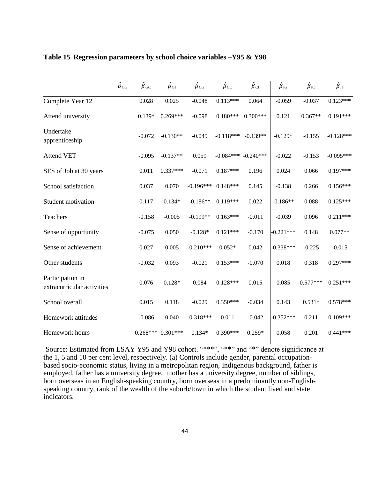|                                                | ${\hat \beta}_{\rm GG}$ | $\hat{\beta}_{\mathrm{GC}}$ | $\hat{\beta}_{\rm GI}$ | $\hat{\beta}_{\text{CG}}$ | $\hat{\beta}_{\text{CC}}$ | $\hat{\beta}_{\rm CI}$ | $\hat{\beta}_{\text{IG}}$ | $\hat{\beta}_{\text{IC}}$ | $\hat{\beta}_{\rm II}$ |
|------------------------------------------------|-------------------------|-----------------------------|------------------------|---------------------------|---------------------------|------------------------|---------------------------|---------------------------|------------------------|
| Complete Year 12                               |                         | 0.028                       | 0.025                  | $-0.048$                  | $0.113***$                | 0.064                  | $-0.059$                  | $-0.037$                  | $0.123***$             |
| Attend university                              |                         | $0.139*$                    | $0.269***$             | $-0.098$                  | $0.180***$                | $0.300***$             | 0.121                     | $0.367**$                 | $0.191***$             |
| Undertake<br>apprenticeship                    |                         | $-0.072$                    | $-0.130**$             | $-0.049$                  | $-0.118***$               | $-0.139**$             | $-0.129*$                 | $-0.155$                  | $-0.128***$            |
| <b>Attend VET</b>                              |                         | $-0.095$                    | $-0.137**$             | 0.059                     | $-0.084***$               | $-0.240***$            | $-0.022$                  | $-0.153$                  | $-0.095***$            |
| SES of Job at 30 years                         |                         | 0.011                       | $0.337***$             | $-0.071$                  | $0.187***$                | 0.196                  | 0.024                     | 0.066                     | $0.197***$             |
| School satisfaction                            |                         | 0.037                       | 0.070                  | $-0.196***$               | $0.148***$                | 0.145                  | $-0.138$                  | 0.266                     | $0.156***$             |
| Student motivation                             |                         | 0.117                       | $0.134*$               | $-0.186**$                | $0.119***$                | 0.022                  | $-0.186**$                | 0.088                     | $0.125***$             |
| Teachers                                       |                         | $-0.158$                    | $-0.005$               | $-0.199**$                | $0.163***$                | $-0.011$               | $-0.039$                  | 0.096                     | $0.211***$             |
| Sense of opportunity                           |                         | $-0.075$                    | 0.050                  | $-0.128*$                 | $0.121***$                | $-0.170$               | $-0.221***$               | 0.148                     | $0.077**$              |
| Sense of achievement                           |                         | 0.027                       | 0.005                  | $-0.210***$               | $0.052*$                  | 0.042                  | $-0.338***$               | $-0.225$                  | $-0.015$               |
| Other students                                 |                         | $-0.032$                    | 0.093                  | $-0.021$                  | $0.153***$                | $-0.070$               | 0.018                     | 0.318                     | $0.297***$             |
| Participation in<br>extracurricular activities |                         | 0.076                       | $0.128*$               | 0.084                     | $0.128***$                | 0.015                  | 0.085                     | $0.577***$                | $0.251***$             |
| School overall                                 |                         | 0.015                       | 0.118                  | $-0.029$                  | $0.350***$                | $-0.034$               | 0.143                     | $0.531*$                  | $0.578***$             |
| Homework attitudes                             |                         | $-0.086$                    | 0.040                  | $-0.318***$               | 0.011                     | $-0.042$               | $-0.352***$               | 0.211                     | $0.109***$             |
| Homework hours                                 |                         |                             | $0.268***$ $0.301***$  | $0.134*$                  | $0.390***$                | $0.259*$               | 0.058                     | 0.201                     | $0.441***$             |

### **Table 15 Regression parameters by school choice variables –Y95 & Y98**

Source: Estimated from LSAY Y95 and Y98 cohort. "\*\*\*", "\*\*" and "\*" denote significance at the 1, 5 and 10 per cent level, respectively. (a) Controls include gender, parental occupationbased socio-economic status, living in a metropolitan region, Indigenous background, father is employed, father has a university degree, mother has a university degree, number of siblings, born overseas in an English-speaking country, born overseas in a predominantly non-Englishspeaking country, rank of the wealth of the suburb/town in which the student lived and state indicators.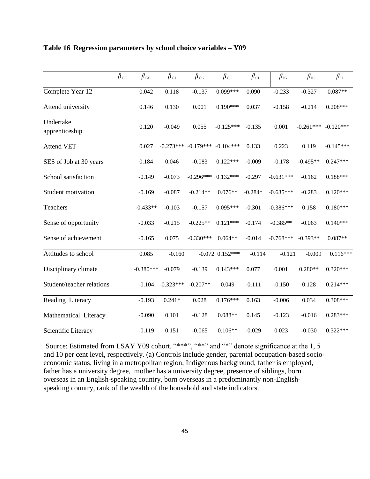|                             | ${\hat \beta}_{\rm GG}$ | $\hat{\beta}_{\text{GC}}$ | ${\hat \beta}_{\rm GI}$ | $\hat{\beta}_{CG}$ | $\hat{\beta}_{\text{CC}}$ | $\hat{\beta}_{\rm CI}$ | $\hat{\beta}_{\text{IG}}$ | $\hat{\beta}_{\text{IC}}$ | $\hat{\beta}_{\rm II}$ |
|-----------------------------|-------------------------|---------------------------|-------------------------|--------------------|---------------------------|------------------------|---------------------------|---------------------------|------------------------|
| Complete Year 12            |                         | 0.042                     | 0.118                   | $-0.137$           | $0.099***$                | 0.090                  | $-0.233$                  | $-0.327$                  | $0.087**$              |
| Attend university           |                         | 0.146                     | 0.130                   | 0.001              | $0.190***$                | 0.037                  | $-0.158$                  | $-0.214$                  | $0.208***$             |
| Undertake<br>apprenticeship |                         | 0.120                     | $-0.049$                | 0.055              | $-0.125***$               | $-0.135$               | 0.001                     | $-0.261***$               | $-0.120***$            |
| <b>Attend VET</b>           |                         | 0.027                     | $-0.273***$             | $-0.179***$        | $-0.104***$               | 0.133                  | 0.223                     | 0.119                     | $-0.145***$            |
| SES of Job at 30 years      |                         | 0.184                     | 0.046                   | $-0.083$           | $0.122***$                | $-0.009$               | $-0.178$                  | $-0.495**$                | $0.247***$             |
| School satisfaction         |                         | $-0.149$                  | $-0.073$                | $-0.296***$        | $0.132***$                | $-0.297$               | $-0.631***$               | $-0.162$                  | $0.188***$             |
| Student motivation          |                         | $-0.169$                  | $-0.087$                | $-0.214**$         | $0.076**$                 | $-0.284*$              | $-0.635***$               | $-0.283$                  | $0.120***$             |
| Teachers                    |                         | $-0.433**$                | $-0.103$                | $-0.157$           | $0.095***$                | $-0.301$               | $-0.386***$               | 0.158                     | $0.180***$             |
| Sense of opportunity        |                         | $-0.033$                  | $-0.215$                | $-0.225**$         | $0.121***$                | $-0.174$               | $-0.385**$                | $-0.063$                  | $0.140***$             |
| Sense of achievement        |                         | $-0.165$                  | 0.075                   | $-0.330***$        | $0.064**$                 | $-0.014$               | $-0.768***$               | $-0.393**$                | $0.087**$              |
| Attitudes to school         |                         | 0.085                     | $-0.160$                |                    | $-0.072$ $0.152***$       | $-0.114$               | $-0.121$                  | $-0.009$                  | $0.116***$             |
| Disciplinary climate        |                         | $-0.380***$               | $-0.079$                | $-0.139$           | $0.143***$                | 0.077                  | 0.001                     | $0.280**$                 | $0.320***$             |
| Student/teacher relations   |                         | $-0.104$                  | $-0.323***$             | $-0.207**$         | 0.049                     | $-0.111$               | $-0.150$                  | 0.128                     | $0.214***$             |
| Reading Literacy            |                         | $-0.193$                  | $0.241*$                | 0.028              | $0.176***$                | 0.163                  | $-0.006$                  | 0.034                     | $0.308***$             |
| Mathematical Literacy       |                         | $-0.090$                  | 0.101                   | $-0.128$           | $0.088**$                 | 0.145                  | $-0.123$                  | $-0.016$                  | $0.283***$             |
| Scientific Literacy         |                         | $-0.119$                  | 0.151                   | $-0.065$           | $0.106**$                 | $-0.029$               | 0.023                     | $-0.030$                  | $0.322***$             |

### **Table 16 Regression parameters by school choice variables – Y09**

Source: Estimated from LSAY Y09 cohort. "\*\*\*", "\*\*" and "\*" denote significance at the 1, 5 and 10 per cent level, respectively. (a) Controls include gender, parental occupation-based socioeconomic status, living in a metropolitan region, Indigenous background, father is employed, father has a university degree, mother has a university degree, presence of siblings, born overseas in an English-speaking country, born overseas in a predominantly non-Englishspeaking country, rank of the wealth of the household and state indicators.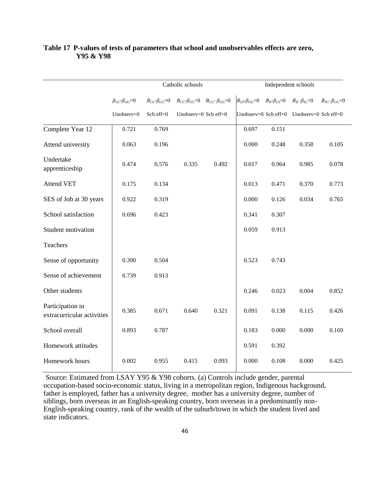|                                                | Catholic schools                                 |                                     |                                                       |       | Independent schools        |                                            |                                                   |                            |
|------------------------------------------------|--------------------------------------------------|-------------------------------------|-------------------------------------------------------|-------|----------------------------|--------------------------------------------|---------------------------------------------------|----------------------------|
|                                                | $\beta$ <sub>GC</sub> - $\beta$ <sub>GG</sub> =0 | $B_{CC}$ - $\beta$ <sub>GC</sub> =0 | $B_{CC}$ - $\beta_{CG}$ =0 $B_{CG}$ - $\beta_{GG}$ =0 |       | $B_{GI}$ - $\beta_{GG}$ =0 | $B_{\text{II}}\text{-}\beta_{\text{GI}}=0$ | $B_{\text{II}}\text{-}\beta_{\text{IG}}\text{=}0$ | $B_{IG}$ - $\beta_{GG}$ =0 |
|                                                | Unobserv=0                                       | Sch eff=0                           | Unobserv=0 Sch eff=0                                  |       |                            |                                            | Unobserv=0 Sch eff=0 Unobserv=0 Sch eff=0         |                            |
| Complete Year 12                               | 0.721                                            | 0.769                               |                                                       |       | 0.697                      | 0.151                                      |                                                   |                            |
| Attend university                              | 0.063                                            | 0.196                               |                                                       |       | 0.000                      | 0.248                                      | 0.358                                             | 0.105                      |
| Undertake<br>apprenticeship                    | 0.474                                            | 0.576                               | 0.335                                                 | 0.492 | 0.017                      | 0.964                                      | 0.985                                             | 0.078                      |
| <b>Attend VET</b>                              | 0.175                                            | 0.134                               |                                                       |       | 0.013                      | 0.471                                      | 0.370                                             | 0.773                      |
| SES of Job at 30 years                         | 0.922                                            | 0.319                               |                                                       |       | 0.000                      | 0.126                                      | 0.034                                             | 0.765                      |
| School satisfaction                            | 0.696                                            | 0.423                               |                                                       |       | 0.341                      | 0.307                                      |                                                   |                            |
| Student motivation                             |                                                  |                                     |                                                       |       | 0.059                      | 0.913                                      |                                                   |                            |
| Teachers                                       |                                                  |                                     |                                                       |       |                            |                                            |                                                   |                            |
| Sense of opportunity                           | 0.390                                            | 0.504                               |                                                       |       | 0.523                      | 0.743                                      |                                                   |                            |
| Sense of achievement                           | 0.739                                            | 0.913                               |                                                       |       |                            |                                            |                                                   |                            |
| Other students                                 |                                                  |                                     |                                                       |       | 0.246                      | 0.023                                      | 0.004                                             | 0.852                      |
| Participation in<br>extracurricular activities | 0.385                                            | 0.671                               | 0.640                                                 | 0.321 | 0.091                      | 0.138                                      | 0.115                                             | 0.426                      |
| School overall                                 | 0.893                                            | 0.787                               |                                                       |       | 0.183                      | 0.000                                      | 0.000                                             | 0.169                      |
| Homework attitudes                             |                                                  |                                     |                                                       |       | 0.591                      | 0.392                                      |                                                   |                            |
| Homework hours                                 | 0.002                                            | 0.955                               | 0.415                                                 | 0.093 | 0.000                      | 0.108                                      | 0.000                                             | 0.425                      |

## **Table 17 P-values of tests of parameters that school and unobservables effects are zero, Y95 & Y98**

Source: Estimated from LSAY Y95 & Y98 cohorts. (a) Controls include gender, parental occupation-based socio-economic status, living in a metropolitan region, Indigenous background, father is employed, father has a university degree, mother has a university degree, number of siblings, born overseas in an English-speaking country, born overseas in a predominantly non-English-speaking country, rank of the wealth of the suburb/town in which the student lived and state indicators.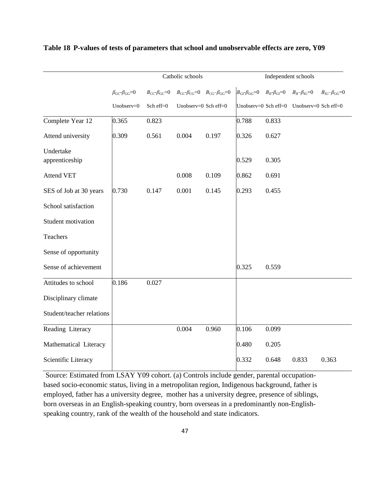|                             |                                                  |                            | Catholic schools                                                                      |       | Independent schools                      |                                                   |                                                    |                       |
|-----------------------------|--------------------------------------------------|----------------------------|---------------------------------------------------------------------------------------|-------|------------------------------------------|---------------------------------------------------|----------------------------------------------------|-----------------------|
|                             | $\beta$ <sub>GC</sub> - $\beta$ <sub>GG</sub> =0 | $B_{CC}$ - $\beta_{GC}$ =0 | $B_{\text{CC}}\text{-}\beta_{\text{CG}}=0$ $B_{\text{CG}}\text{-}\beta_{\text{GG}}=0$ |       | $B_{\text{GI}}$ - $\beta_{\text{GG}}$ =0 | $B_{\text{II}}\text{-}\beta_{\text{GI}}\text{=}0$ | $B_{\text{II}}\text{--}\beta_{\text{IG}}\text{=}0$ | $B_{IG}-\beta_{GG}=0$ |
|                             | Unobserv=0                                       | Sch eff=0                  | Unobserv=0 Sch eff=0                                                                  |       |                                          |                                                   | Unobserv=0 Sch eff=0 Unobserv=0 Sch eff=0          |                       |
| Complete Year 12            | 0.365                                            | 0.823                      |                                                                                       |       | 0.788                                    | 0.833                                             |                                                    |                       |
| Attend university           | 0.309                                            | 0.561                      | 0.004                                                                                 | 0.197 | 0.326                                    | 0.627                                             |                                                    |                       |
| Undertake<br>apprenticeship |                                                  |                            |                                                                                       |       | 0.529                                    | 0.305                                             |                                                    |                       |
| <b>Attend VET</b>           |                                                  |                            | 0.008                                                                                 | 0.109 | 0.862                                    | 0.691                                             |                                                    |                       |
| SES of Job at 30 years      | 0.730                                            | 0.147                      | 0.001                                                                                 | 0.145 | 0.293                                    | 0.455                                             |                                                    |                       |
| School satisfaction         |                                                  |                            |                                                                                       |       |                                          |                                                   |                                                    |                       |
| Student motivation          |                                                  |                            |                                                                                       |       |                                          |                                                   |                                                    |                       |
| Teachers                    |                                                  |                            |                                                                                       |       |                                          |                                                   |                                                    |                       |
| Sense of opportunity        |                                                  |                            |                                                                                       |       |                                          |                                                   |                                                    |                       |
| Sense of achievement        |                                                  |                            |                                                                                       |       | 0.325                                    | 0.559                                             |                                                    |                       |
| Attitudes to school         | 0.186                                            | 0.027                      |                                                                                       |       |                                          |                                                   |                                                    |                       |
| Disciplinary climate        |                                                  |                            |                                                                                       |       |                                          |                                                   |                                                    |                       |
| Student/teacher relations   |                                                  |                            |                                                                                       |       |                                          |                                                   |                                                    |                       |
| Reading Literacy            |                                                  |                            | 0.004                                                                                 | 0.960 | 0.106                                    | 0.099                                             |                                                    |                       |
| Mathematical Literacy       |                                                  |                            |                                                                                       |       | 0.480                                    | 0.205                                             |                                                    |                       |
| Scientific Literacy         |                                                  |                            |                                                                                       |       | 0.332                                    | 0.648                                             | 0.833                                              | 0.363                 |

## **Table 18 P-values of tests of parameters that school and unobservable effects are zero, Y09**

Source: Estimated from LSAY Y09 cohort. (a) Controls include gender, parental occupationbased socio-economic status, living in a metropolitan region, Indigenous background, father is employed, father has a university degree, mother has a university degree, presence of siblings, born overseas in an English-speaking country, born overseas in a predominantly non-Englishspeaking country, rank of the wealth of the household and state indicators.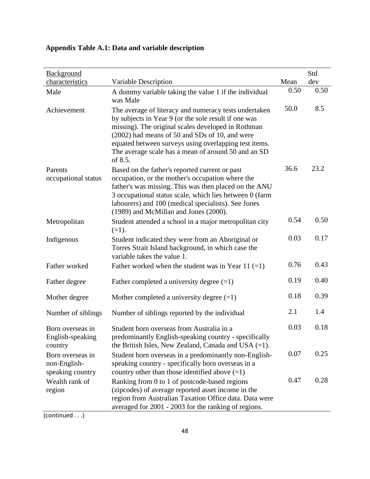## **Appendix Table A.1: Data and variable description**

| Background                                           |                                                                                                                                                                                                                                                                                                                                                  |      | Std  |
|------------------------------------------------------|--------------------------------------------------------------------------------------------------------------------------------------------------------------------------------------------------------------------------------------------------------------------------------------------------------------------------------------------------|------|------|
| characteristics                                      | Variable Description                                                                                                                                                                                                                                                                                                                             | Mean | dev  |
| Male                                                 | A dummy variable taking the value 1 if the individual<br>was Male                                                                                                                                                                                                                                                                                | 0.50 | 0.50 |
| Achievement                                          | The average of literacy and numeracy tests undertaken<br>by subjects in Year 9 (or the sole result if one was<br>missing). The original scales developed in Rothman<br>(2002) had means of 50 and SDs of 10, and were<br>equated between surveys using overlapping test items.<br>The average scale has a mean of around 50 and an SD<br>of 8.5. | 50.0 | 8.5  |
| Parents<br>occupational status                       | Based on the father's reported current or past<br>occupation, or the mother's occupation where the<br>father's was missing. This was then placed on the ANU<br>3 occupational status scale, which lies between 0 (farm<br>labourers) and 100 (medical specialists). See Jones<br>(1989) and McMillan and Jones (2000).                           | 36.6 | 23.2 |
| Metropolitan                                         | Student attended a school in a major metropolitan city<br>$(=1).$                                                                                                                                                                                                                                                                                | 0.54 | 0.50 |
| Indigenous                                           | Student indicated they were from an Aboriginal or<br>Torres Strait Island background, in which case the<br>variable takes the value 1.                                                                                                                                                                                                           | 0.03 | 0.17 |
| Father worked                                        | Father worked when the student was in Year 11 $(=1)$                                                                                                                                                                                                                                                                                             | 0.76 | 0.43 |
| Father degree                                        | Father completed a university degree $(=1)$                                                                                                                                                                                                                                                                                                      | 0.19 | 0.40 |
| Mother degree                                        | Mother completed a university degree $(=1)$                                                                                                                                                                                                                                                                                                      | 0.18 | 0.39 |
| Number of siblings                                   | Number of siblings reported by the individual                                                                                                                                                                                                                                                                                                    | 2.1  | 1.4  |
| Born overseas in<br>English-speaking<br>country      | Student born overseas from Australia in a<br>predominantly English-speaking country - specifically<br>the British Isles, New Zealand, Canada and USA $(=1)$ .                                                                                                                                                                                    | 0.03 | 0.18 |
| Born overseas in<br>non-English-<br>speaking country | Student born overseas in a predominantly non-English-<br>speaking country - specifically born overseas in a<br>country other than those identified above $(=1)$                                                                                                                                                                                  | 0.07 | 0.25 |
| Wealth rank of<br>region                             | Ranking from 0 to 1 of postcode-based regions<br>(zipcodes) of average reported asset income in the<br>region from Australian Taxation Office data. Data were<br>averaged for 2001 - 2003 for the ranking of regions.                                                                                                                            | 0.47 | 0.28 |

(continued . . .)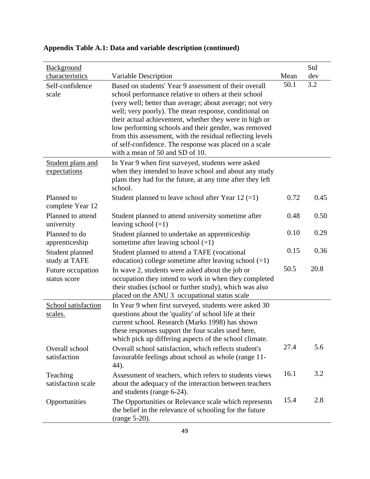| <b>Background</b><br>characteristics | Variable Description                                                                                                                                                                                                                                                                                                                                                                                                                                                         | Mean | Std<br>dev |
|--------------------------------------|------------------------------------------------------------------------------------------------------------------------------------------------------------------------------------------------------------------------------------------------------------------------------------------------------------------------------------------------------------------------------------------------------------------------------------------------------------------------------|------|------------|
| Self-confidence<br>scale             | Based on students' Year 9 assessment of their overall<br>school performance relative to others at their school<br>(very well; better than average; about average; not very<br>well; very poorly). The mean response, conditional on<br>their actual achievement, whether they were in high or<br>low performing schools and their gender, was removed<br>from this assessment, with the residual reflecting levels<br>of self-confidence. The response was placed on a scale | 50.1 | 3.2        |
| Student plans and<br>expectations    | with a mean of 50 and SD of 10.<br>In Year 9 when first surveyed, students were asked<br>when they intended to leave school and about any study<br>plans they had for the future, at any time after they left<br>school.                                                                                                                                                                                                                                                     |      |            |
| Planned to<br>complete Year 12       | Student planned to leave school after Year 12 $(=1)$                                                                                                                                                                                                                                                                                                                                                                                                                         | 0.72 | 0.45       |
| Planned to attend<br>university      | Student planned to attend university sometime after<br>leaving school $(=1)$                                                                                                                                                                                                                                                                                                                                                                                                 | 0.48 | 0.50       |
| Planned to do<br>apprenticeship      | Student planned to undertake an apprenticeship<br>sometime after leaving school $(=1)$                                                                                                                                                                                                                                                                                                                                                                                       | 0.10 | 0.29       |
| Student planned<br>study at TAFE     | Student planned to attend a TAFE (vocational<br>education) college sometime after leaving school $(=1)$                                                                                                                                                                                                                                                                                                                                                                      | 0.15 | 0.36       |
| Future occupation<br>status score    | In wave 2, students were asked about the job or<br>occupation they intend to work in when they completed<br>their studies (school or further study), which was also<br>placed on the ANU 3 occupational status scale                                                                                                                                                                                                                                                         | 50.5 | 20.8       |
| School satisfaction<br>scales.       | In Year 9 when first surveyed, students were asked 30<br>questions about the 'quality' of school life at their<br>current school. Research (Marks 1998) has shown<br>these responses support the four scales used here,<br>which pick up differing aspects of the school climate.                                                                                                                                                                                            |      |            |
| Overall school<br>satisfaction       | Overall school satisfaction, which reflects student's<br>favourable feelings about school as whole (range 11-<br>44).                                                                                                                                                                                                                                                                                                                                                        | 27.4 | 5.6        |
| Teaching<br>satisfaction scale       | Assessment of teachers, which refers to students views<br>about the adequacy of the interaction between teachers<br>and students (range 6-24).                                                                                                                                                                                                                                                                                                                               | 16.1 | 3.2        |
| Opportunities                        | The Opportunities or Relevance scale which represents<br>the belief in the relevance of schooling for the future<br>(range 5-20).                                                                                                                                                                                                                                                                                                                                            | 15.4 | 2.8        |

## **Appendix Table A.1: Data and variable description (continued)**